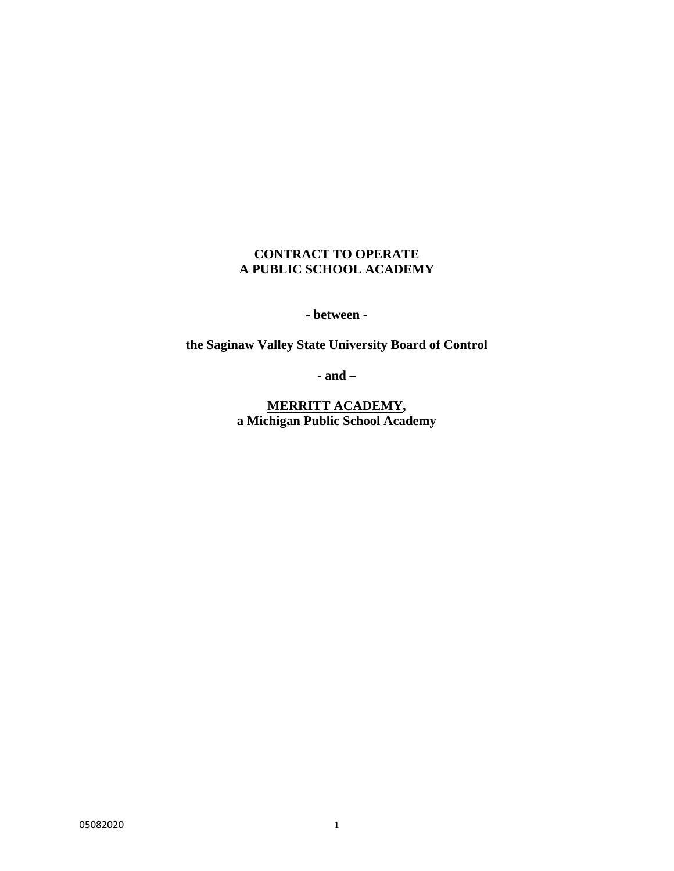# **CONTRACT TO OPERATE A PUBLIC SCHOOL ACADEMY**

**- between -** 

**the Saginaw Valley State University Board of Control** 

**- and –** 

**MERRITT ACADEMY, a Michigan Public School Academy**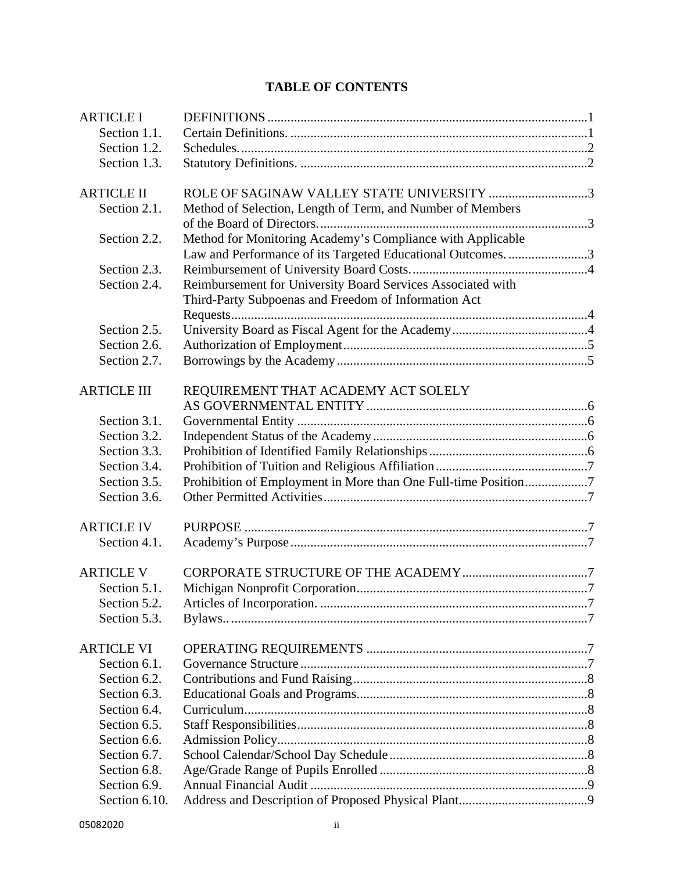# **TABLE OF CONTENTS**

| <b>ARTICLE I</b>   |                                                                |  |
|--------------------|----------------------------------------------------------------|--|
| Section 1.1.       |                                                                |  |
| Section 1.2.       |                                                                |  |
| Section 1.3.       |                                                                |  |
| <b>ARTICLE II</b>  | ROLE OF SAGINAW VALLEY STATE UNIVERSITY 3                      |  |
| Section 2.1.       | Method of Selection, Length of Term, and Number of Members     |  |
| Section 2.2.       | Method for Monitoring Academy's Compliance with Applicable     |  |
|                    | Law and Performance of its Targeted Educational Outcomes. 3    |  |
| Section 2.3.       |                                                                |  |
| Section 2.4.       | Reimbursement for University Board Services Associated with    |  |
|                    | Third-Party Subpoenas and Freedom of Information Act           |  |
| Section 2.5.       |                                                                |  |
| Section 2.6.       |                                                                |  |
| Section 2.7.       |                                                                |  |
| <b>ARTICLE III</b> | REQUIREMENT THAT ACADEMY ACT SOLELY                            |  |
|                    |                                                                |  |
| Section 3.1.       |                                                                |  |
| Section 3.2.       |                                                                |  |
| Section 3.3.       |                                                                |  |
| Section 3.4.       |                                                                |  |
| Section 3.5.       | Prohibition of Employment in More than One Full-time Position7 |  |
| Section 3.6.       |                                                                |  |
| <b>ARTICLE IV</b>  |                                                                |  |
| Section 4.1.       |                                                                |  |
|                    |                                                                |  |
| <b>ARTICLE V</b>   |                                                                |  |
| Section 5.1.       |                                                                |  |
| Section 5.2.       |                                                                |  |
| Section 5.3.       |                                                                |  |
| <b>ARTICLE VI</b>  |                                                                |  |
| Section 6.1.       |                                                                |  |
| Section 6.2.       |                                                                |  |
| Section 6.3.       |                                                                |  |
| Section 6.4.       |                                                                |  |
| Section 6.5.       |                                                                |  |
| Section 6.6.       |                                                                |  |
| Section 6.7.       |                                                                |  |
| Section 6.8.       |                                                                |  |
| Section 6.9.       |                                                                |  |
| Section 6.10.      |                                                                |  |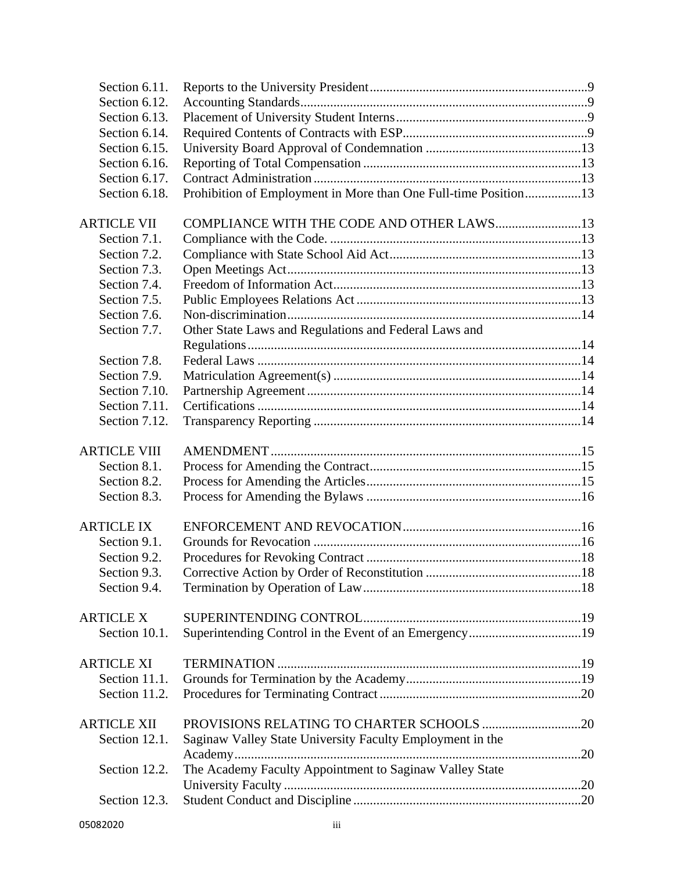| Section 6.11.       |                                                                 |  |
|---------------------|-----------------------------------------------------------------|--|
| Section 6.12.       |                                                                 |  |
| Section 6.13.       |                                                                 |  |
| Section 6.14.       |                                                                 |  |
| Section 6.15.       |                                                                 |  |
| Section 6.16.       |                                                                 |  |
| Section 6.17.       |                                                                 |  |
| Section 6.18.       | Prohibition of Employment in More than One Full-time Position13 |  |
| <b>ARTICLE VII</b>  | COMPLIANCE WITH THE CODE AND OTHER LAWS13                       |  |
| Section 7.1.        |                                                                 |  |
|                     |                                                                 |  |
| Section 7.2.        |                                                                 |  |
| Section 7.3.        |                                                                 |  |
| Section 7.4.        |                                                                 |  |
| Section 7.5.        |                                                                 |  |
| Section 7.6.        |                                                                 |  |
| Section 7.7.        | Other State Laws and Regulations and Federal Laws and           |  |
|                     |                                                                 |  |
| Section 7.8.        |                                                                 |  |
| Section 7.9.        |                                                                 |  |
| Section 7.10.       |                                                                 |  |
| Section 7.11.       |                                                                 |  |
| Section 7.12.       |                                                                 |  |
| <b>ARTICLE VIII</b> |                                                                 |  |
| Section 8.1.        |                                                                 |  |
| Section 8.2.        |                                                                 |  |
| Section 8.3.        |                                                                 |  |
|                     |                                                                 |  |
| <b>ARTICLE IX</b>   |                                                                 |  |
| Section 9.1.        |                                                                 |  |
| Section 9.2.        |                                                                 |  |
| Section 9.3.        |                                                                 |  |
| Section 9.4.        |                                                                 |  |
| <b>ARTICLE X</b>    |                                                                 |  |
| Section 10.1.       | Superintending Control in the Event of an Emergency19           |  |
| <b>ARTICLE XI</b>   |                                                                 |  |
| Section 11.1.       |                                                                 |  |
| Section 11.2.       |                                                                 |  |
|                     |                                                                 |  |
| <b>ARTICLE XII</b>  |                                                                 |  |
| Section 12.1.       | Saginaw Valley State University Faculty Employment in the       |  |
| Section 12.2.       | The Academy Faculty Appointment to Saginaw Valley State         |  |
|                     |                                                                 |  |
| Section 12.3.       |                                                                 |  |
|                     |                                                                 |  |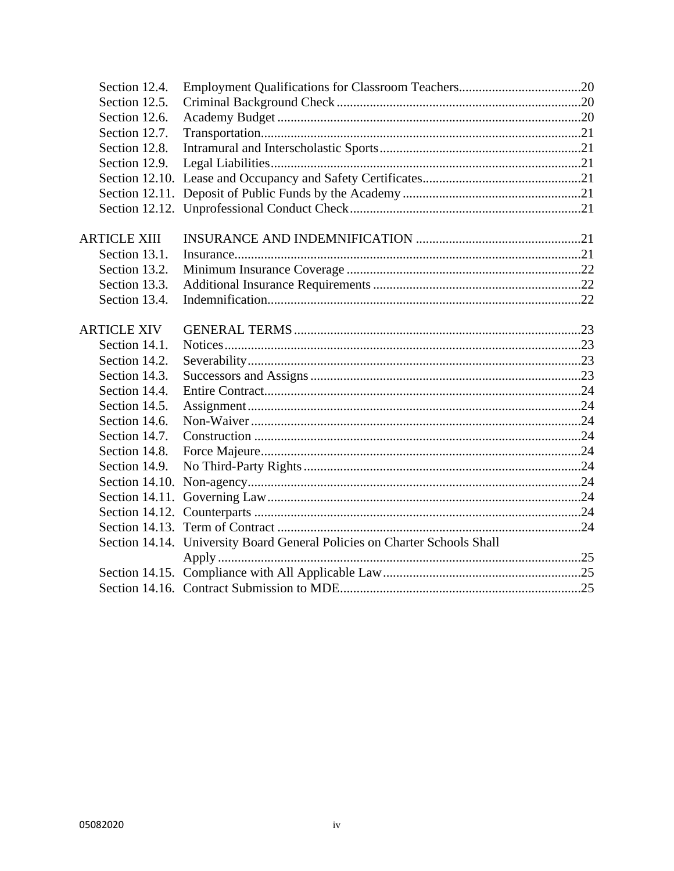| Section 14.14. University Board General Policies on Charter Schools Shall |  |
|---------------------------------------------------------------------------|--|
|                                                                           |  |
|                                                                           |  |
|                                                                           |  |
|                                                                           |  |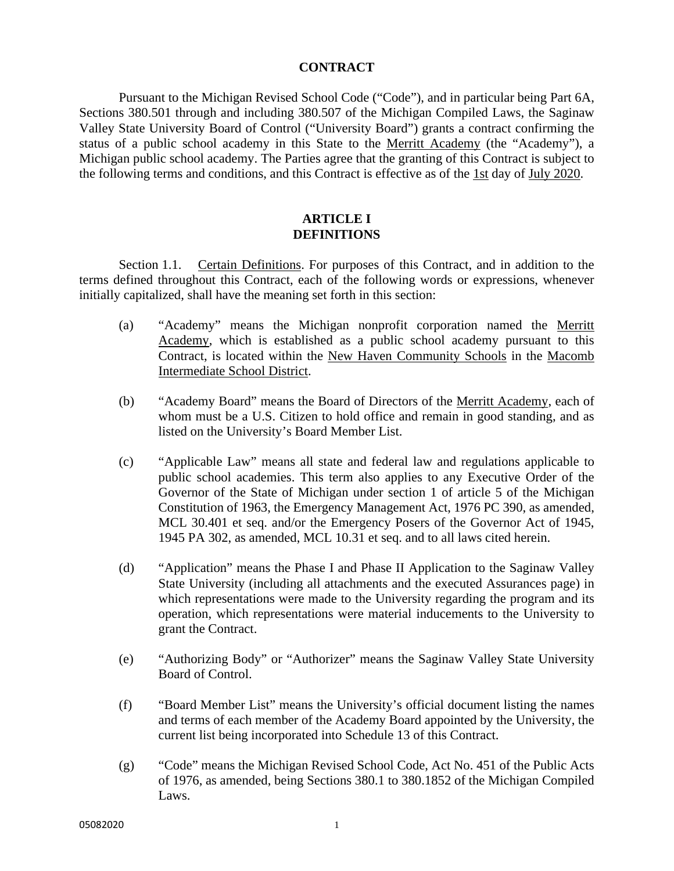#### **CONTRACT**

 Pursuant to the Michigan Revised School Code ("Code"), and in particular being Part 6A, Sections 380.501 through and including 380.507 of the Michigan Compiled Laws, the Saginaw Valley State University Board of Control ("University Board") grants a contract confirming the status of a public school academy in this State to the Merritt Academy (the "Academy"), a Michigan public school academy. The Parties agree that the granting of this Contract is subject to the following terms and conditions, and this Contract is effective as of the 1st day of July 2020.

#### **ARTICLE I DEFINITIONS**

Section 1.1. Certain Definitions. For purposes of this Contract, and in addition to the terms defined throughout this Contract, each of the following words or expressions, whenever initially capitalized, shall have the meaning set forth in this section:

- (a) "Academy" means the Michigan nonprofit corporation named the Merritt Academy, which is established as a public school academy pursuant to this Contract, is located within the New Haven Community Schools in the Macomb Intermediate School District.
- (b) "Academy Board" means the Board of Directors of the Merritt Academy, each of whom must be a U.S. Citizen to hold office and remain in good standing, and as listed on the University's Board Member List.
- (c) "Applicable Law" means all state and federal law and regulations applicable to public school academies. This term also applies to any Executive Order of the Governor of the State of Michigan under section 1 of article 5 of the Michigan Constitution of 1963, the Emergency Management Act, 1976 PC 390, as amended, MCL 30.401 et seq. and/or the Emergency Posers of the Governor Act of 1945, 1945 PA 302, as amended, MCL 10.31 et seq. and to all laws cited herein.
- (d) "Application" means the Phase I and Phase II Application to the Saginaw Valley State University (including all attachments and the executed Assurances page) in which representations were made to the University regarding the program and its operation, which representations were material inducements to the University to grant the Contract.
- (e) "Authorizing Body" or "Authorizer" means the Saginaw Valley State University Board of Control.
- (f) "Board Member List" means the University's official document listing the names and terms of each member of the Academy Board appointed by the University, the current list being incorporated into Schedule 13 of this Contract.
- (g) "Code" means the Michigan Revised School Code, Act No. 451 of the Public Acts of 1976, as amended, being Sections 380.1 to 380.1852 of the Michigan Compiled Laws.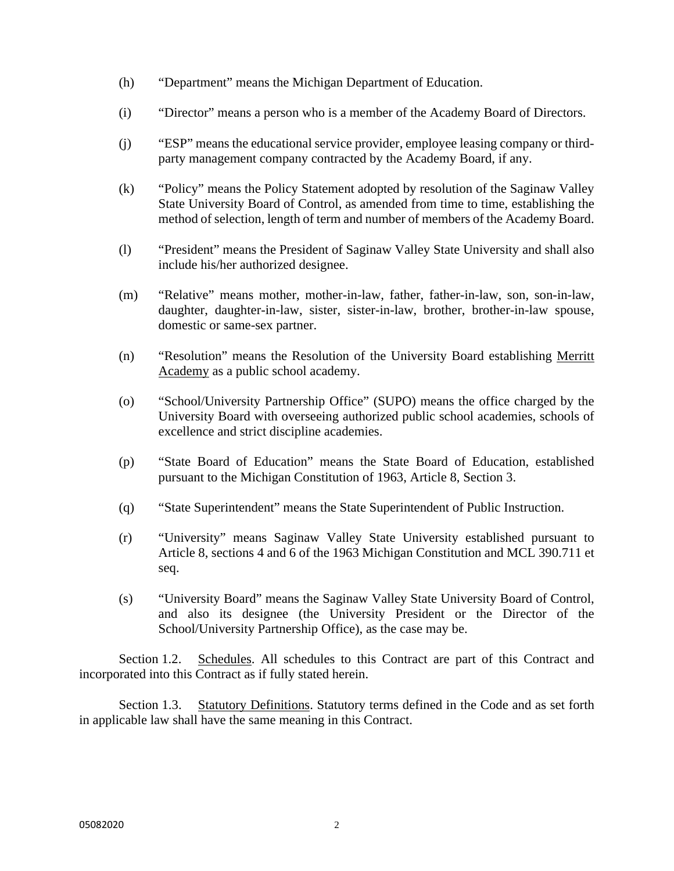- (h) "Department" means the Michigan Department of Education.
- (i) "Director" means a person who is a member of the Academy Board of Directors.
- (j) "ESP" means the educational service provider, employee leasing company or thirdparty management company contracted by the Academy Board, if any.
- (k) "Policy" means the Policy Statement adopted by resolution of the Saginaw Valley State University Board of Control, as amended from time to time, establishing the method of selection, length of term and number of members of the Academy Board.
- (l) "President" means the President of Saginaw Valley State University and shall also include his/her authorized designee.
- (m) "Relative" means mother, mother-in-law, father, father-in-law, son, son-in-law, daughter, daughter-in-law, sister, sister-in-law, brother, brother-in-law spouse, domestic or same-sex partner.
- (n) "Resolution" means the Resolution of the University Board establishing Merritt Academy as a public school academy.
- (o) "School/University Partnership Office" (SUPO) means the office charged by the University Board with overseeing authorized public school academies, schools of excellence and strict discipline academies.
- (p) "State Board of Education" means the State Board of Education, established pursuant to the Michigan Constitution of 1963, Article 8, Section 3.
- (q) "State Superintendent" means the State Superintendent of Public Instruction.
- (r) "University" means Saginaw Valley State University established pursuant to Article 8, sections 4 and 6 of the 1963 Michigan Constitution and MCL 390.711 et seq.
- (s) "University Board" means the Saginaw Valley State University Board of Control, and also its designee (the University President or the Director of the School/University Partnership Office), as the case may be.

Section 1.2. Schedules. All schedules to this Contract are part of this Contract and incorporated into this Contract as if fully stated herein.

Section 1.3. Statutory Definitions. Statutory terms defined in the Code and as set forth in applicable law shall have the same meaning in this Contract.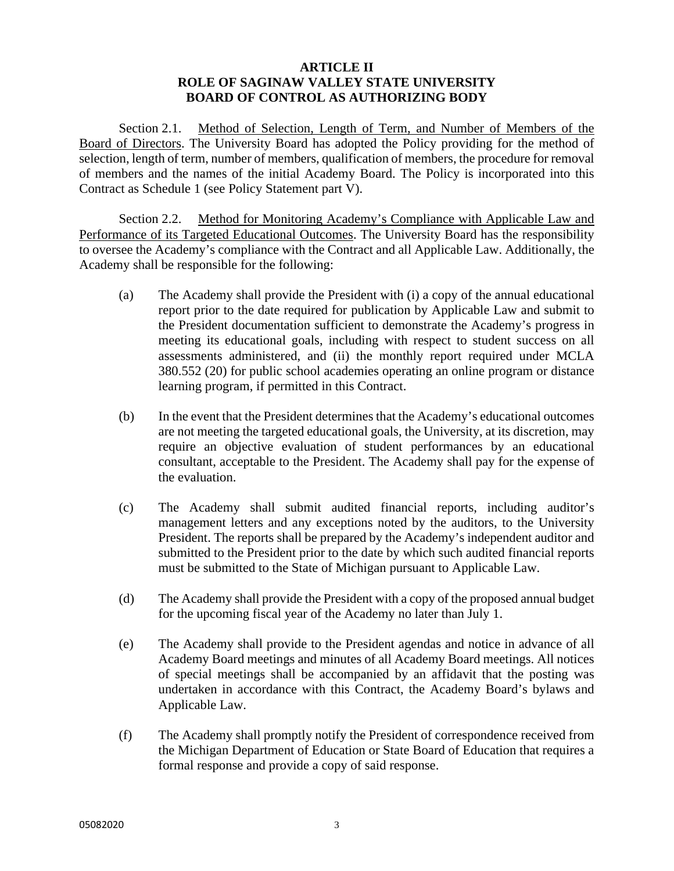#### **ARTICLE II ROLE OF SAGINAW VALLEY STATE UNIVERSITY BOARD OF CONTROL AS AUTHORIZING BODY**

Section 2.1. Method of Selection, Length of Term, and Number of Members of the Board of Directors. The University Board has adopted the Policy providing for the method of selection, length of term, number of members, qualification of members, the procedure for removal of members and the names of the initial Academy Board. The Policy is incorporated into this Contract as Schedule 1 (see Policy Statement part V).

Section 2.2. Method for Monitoring Academy's Compliance with Applicable Law and Performance of its Targeted Educational Outcomes. The University Board has the responsibility to oversee the Academy's compliance with the Contract and all Applicable Law. Additionally, the Academy shall be responsible for the following:

- (a) The Academy shall provide the President with (i) a copy of the annual educational report prior to the date required for publication by Applicable Law and submit to the President documentation sufficient to demonstrate the Academy's progress in meeting its educational goals, including with respect to student success on all assessments administered, and (ii) the monthly report required under MCLA 380.552 (20) for public school academies operating an online program or distance learning program, if permitted in this Contract.
- (b) In the event that the President determines that the Academy's educational outcomes are not meeting the targeted educational goals, the University, at its discretion, may require an objective evaluation of student performances by an educational consultant, acceptable to the President. The Academy shall pay for the expense of the evaluation.
- (c) The Academy shall submit audited financial reports, including auditor's management letters and any exceptions noted by the auditors, to the University President. The reports shall be prepared by the Academy's independent auditor and submitted to the President prior to the date by which such audited financial reports must be submitted to the State of Michigan pursuant to Applicable Law.
- (d) The Academy shall provide the President with a copy of the proposed annual budget for the upcoming fiscal year of the Academy no later than July 1.
- (e) The Academy shall provide to the President agendas and notice in advance of all Academy Board meetings and minutes of all Academy Board meetings. All notices of special meetings shall be accompanied by an affidavit that the posting was undertaken in accordance with this Contract, the Academy Board's bylaws and Applicable Law.
- (f) The Academy shall promptly notify the President of correspondence received from the Michigan Department of Education or State Board of Education that requires a formal response and provide a copy of said response.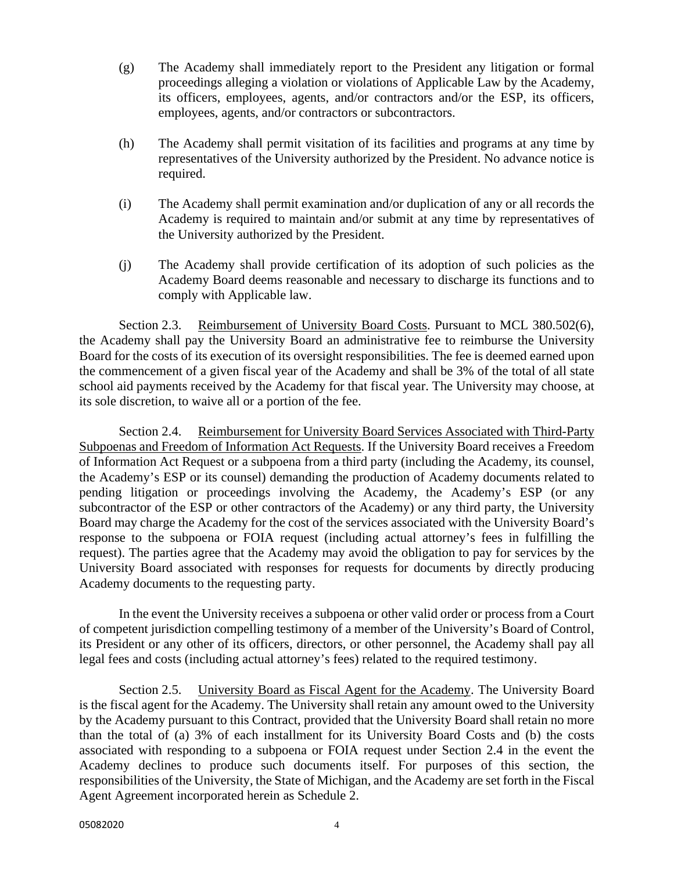- (g) The Academy shall immediately report to the President any litigation or formal proceedings alleging a violation or violations of Applicable Law by the Academy, its officers, employees, agents, and/or contractors and/or the ESP, its officers, employees, agents, and/or contractors or subcontractors.
- (h) The Academy shall permit visitation of its facilities and programs at any time by representatives of the University authorized by the President. No advance notice is required.
- (i) The Academy shall permit examination and/or duplication of any or all records the Academy is required to maintain and/or submit at any time by representatives of the University authorized by the President.
- (j) The Academy shall provide certification of its adoption of such policies as the Academy Board deems reasonable and necessary to discharge its functions and to comply with Applicable law.

Section 2.3. Reimbursement of University Board Costs. Pursuant to MCL 380.502(6), the Academy shall pay the University Board an administrative fee to reimburse the University Board for the costs of its execution of its oversight responsibilities. The fee is deemed earned upon the commencement of a given fiscal year of the Academy and shall be 3% of the total of all state school aid payments received by the Academy for that fiscal year. The University may choose, at its sole discretion, to waive all or a portion of the fee.

Section 2.4. Reimbursement for University Board Services Associated with Third-Party Subpoenas and Freedom of Information Act Requests. If the University Board receives a Freedom of Information Act Request or a subpoena from a third party (including the Academy, its counsel, the Academy's ESP or its counsel) demanding the production of Academy documents related to pending litigation or proceedings involving the Academy, the Academy's ESP (or any subcontractor of the ESP or other contractors of the Academy) or any third party, the University Board may charge the Academy for the cost of the services associated with the University Board's response to the subpoena or FOIA request (including actual attorney's fees in fulfilling the request). The parties agree that the Academy may avoid the obligation to pay for services by the University Board associated with responses for requests for documents by directly producing Academy documents to the requesting party.

In the event the University receives a subpoena or other valid order or process from a Court of competent jurisdiction compelling testimony of a member of the University's Board of Control, its President or any other of its officers, directors, or other personnel, the Academy shall pay all legal fees and costs (including actual attorney's fees) related to the required testimony.

Section 2.5. University Board as Fiscal Agent for the Academy. The University Board is the fiscal agent for the Academy. The University shall retain any amount owed to the University by the Academy pursuant to this Contract, provided that the University Board shall retain no more than the total of (a) 3% of each installment for its University Board Costs and (b) the costs associated with responding to a subpoena or FOIA request under Section 2.4 in the event the Academy declines to produce such documents itself. For purposes of this section, the responsibilities of the University, the State of Michigan, and the Academy are set forth in the Fiscal Agent Agreement incorporated herein as Schedule 2.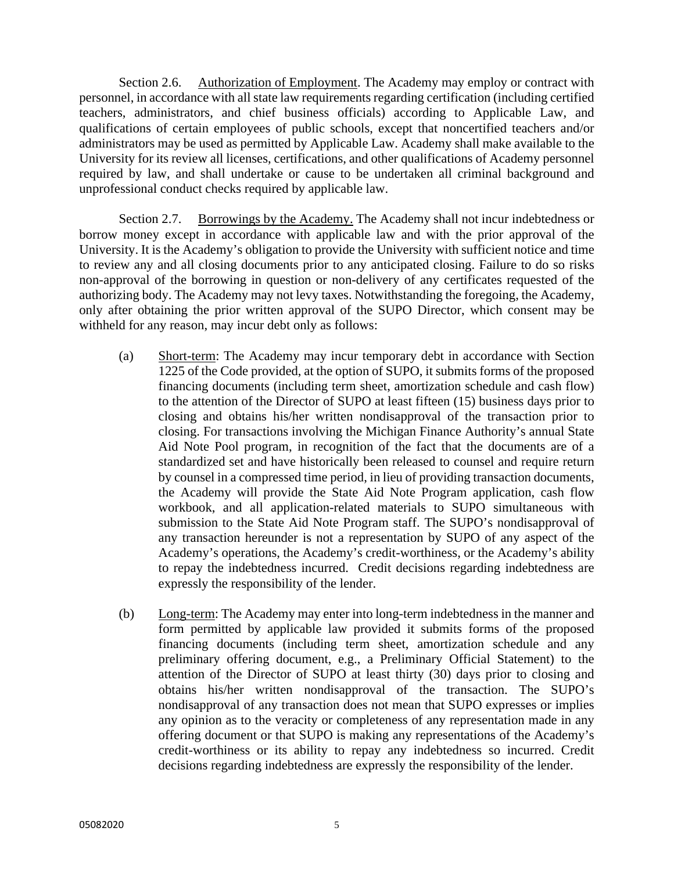Section 2.6. Authorization of Employment. The Academy may employ or contract with personnel, in accordance with all state law requirements regarding certification (including certified teachers, administrators, and chief business officials) according to Applicable Law, and qualifications of certain employees of public schools, except that noncertified teachers and/or administrators may be used as permitted by Applicable Law. Academy shall make available to the University for its review all licenses, certifications, and other qualifications of Academy personnel required by law, and shall undertake or cause to be undertaken all criminal background and unprofessional conduct checks required by applicable law.

Section 2.7. Borrowings by the Academy. The Academy shall not incur indebtedness or borrow money except in accordance with applicable law and with the prior approval of the University. It is the Academy's obligation to provide the University with sufficient notice and time to review any and all closing documents prior to any anticipated closing. Failure to do so risks non-approval of the borrowing in question or non-delivery of any certificates requested of the authorizing body. The Academy may not levy taxes. Notwithstanding the foregoing, the Academy, only after obtaining the prior written approval of the SUPO Director, which consent may be withheld for any reason, may incur debt only as follows:

- (a) Short-term: The Academy may incur temporary debt in accordance with Section 1225 of the Code provided, at the option of SUPO, it submits forms of the proposed financing documents (including term sheet, amortization schedule and cash flow) to the attention of the Director of SUPO at least fifteen (15) business days prior to closing and obtains his/her written nondisapproval of the transaction prior to closing. For transactions involving the Michigan Finance Authority's annual State Aid Note Pool program, in recognition of the fact that the documents are of a standardized set and have historically been released to counsel and require return by counsel in a compressed time period, in lieu of providing transaction documents, the Academy will provide the State Aid Note Program application, cash flow workbook, and all application-related materials to SUPO simultaneous with submission to the State Aid Note Program staff. The SUPO's nondisapproval of any transaction hereunder is not a representation by SUPO of any aspect of the Academy's operations, the Academy's credit-worthiness, or the Academy's ability to repay the indebtedness incurred. Credit decisions regarding indebtedness are expressly the responsibility of the lender.
- (b) Long-term: The Academy may enter into long-term indebtedness in the manner and form permitted by applicable law provided it submits forms of the proposed financing documents (including term sheet, amortization schedule and any preliminary offering document, e.g., a Preliminary Official Statement) to the attention of the Director of SUPO at least thirty (30) days prior to closing and obtains his/her written nondisapproval of the transaction. The SUPO's nondisapproval of any transaction does not mean that SUPO expresses or implies any opinion as to the veracity or completeness of any representation made in any offering document or that SUPO is making any representations of the Academy's credit-worthiness or its ability to repay any indebtedness so incurred. Credit decisions regarding indebtedness are expressly the responsibility of the lender.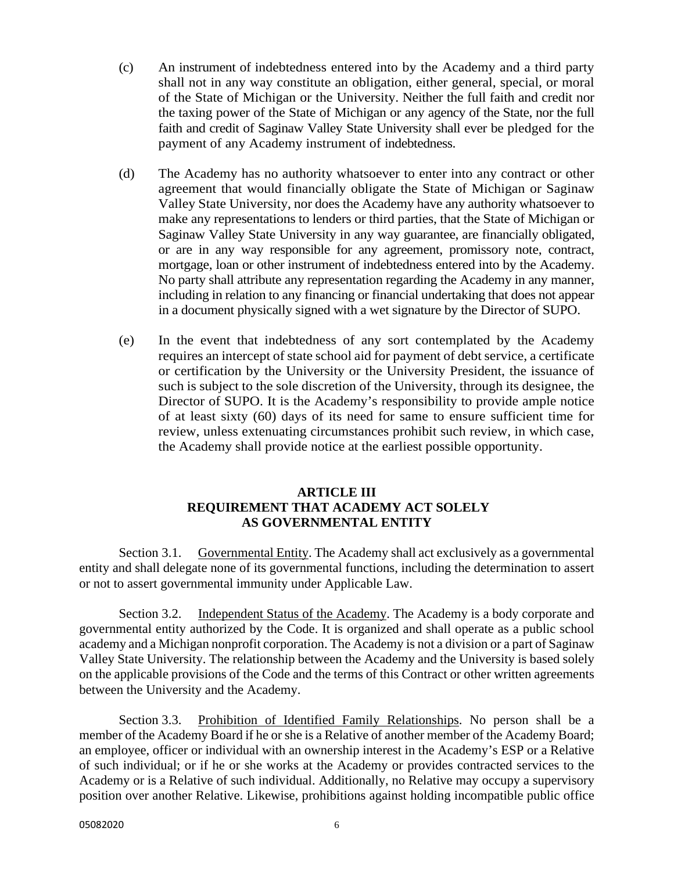- (c) An instrument of indebtedness entered into by the Academy and a third party shall not in any way constitute an obligation, either general, special, or moral of the State of Michigan or the University. Neither the full faith and credit nor the taxing power of the State of Michigan or any agency of the State, nor the full faith and credit of Saginaw Valley State University shall ever be pledged for the payment of any Academy instrument of indebtedness.
- (d) The Academy has no authority whatsoever to enter into any contract or other agreement that would financially obligate the State of Michigan or Saginaw Valley State University, nor does the Academy have any authority whatsoever to make any representations to lenders or third parties, that the State of Michigan or Saginaw Valley State University in any way guarantee, are financially obligated, or are in any way responsible for any agreement, promissory note, contract, mortgage, loan or other instrument of indebtedness entered into by the Academy. No party shall attribute any representation regarding the Academy in any manner, including in relation to any financing or financial undertaking that does not appear in a document physically signed with a wet signature by the Director of SUPO.
- (e) In the event that indebtedness of any sort contemplated by the Academy requires an intercept of state school aid for payment of debt service, a certificate or certification by the University or the University President, the issuance of such is subject to the sole discretion of the University, through its designee, the Director of SUPO. It is the Academy's responsibility to provide ample notice of at least sixty (60) days of its need for same to ensure sufficient time for review, unless extenuating circumstances prohibit such review, in which case, the Academy shall provide notice at the earliest possible opportunity.

# **ARTICLE III REQUIREMENT THAT ACADEMY ACT SOLELY AS GOVERNMENTAL ENTITY**

Section 3.1. Governmental Entity. The Academy shall act exclusively as a governmental entity and shall delegate none of its governmental functions, including the determination to assert or not to assert governmental immunity under Applicable Law.

Section 3.2. Independent Status of the Academy. The Academy is a body corporate and governmental entity authorized by the Code. It is organized and shall operate as a public school academy and a Michigan nonprofit corporation. The Academy is not a division or a part of Saginaw Valley State University. The relationship between the Academy and the University is based solely on the applicable provisions of the Code and the terms of this Contract or other written agreements between the University and the Academy.

Section 3.3. Prohibition of Identified Family Relationships. No person shall be a member of the Academy Board if he or she is a Relative of another member of the Academy Board; an employee, officer or individual with an ownership interest in the Academy's ESP or a Relative of such individual; or if he or she works at the Academy or provides contracted services to the Academy or is a Relative of such individual. Additionally, no Relative may occupy a supervisory position over another Relative. Likewise, prohibitions against holding incompatible public office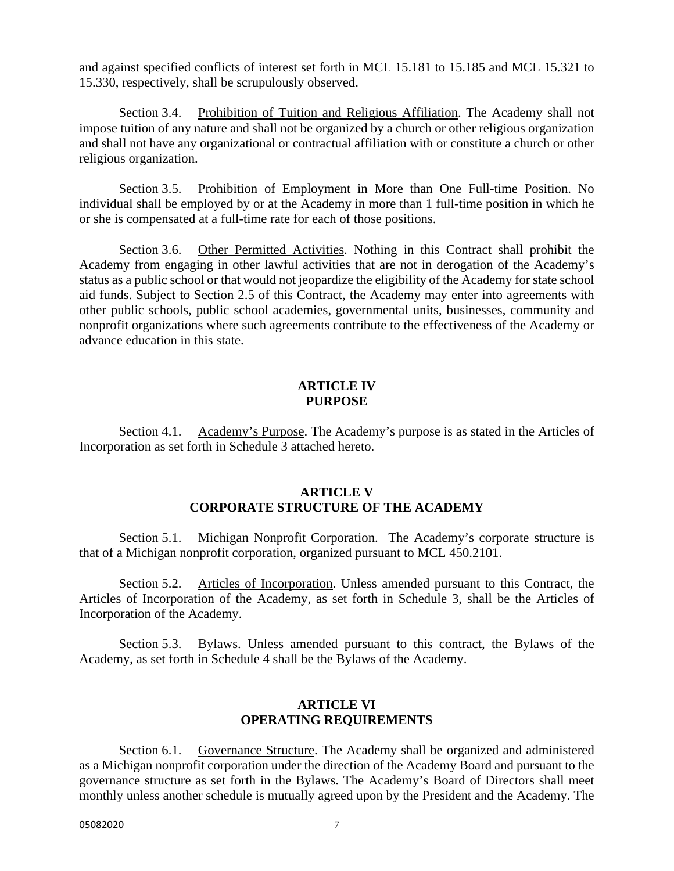and against specified conflicts of interest set forth in MCL 15.181 to 15.185 and MCL 15.321 to 15.330, respectively, shall be scrupulously observed.

Section 3.4. Prohibition of Tuition and Religious Affiliation. The Academy shall not impose tuition of any nature and shall not be organized by a church or other religious organization and shall not have any organizational or contractual affiliation with or constitute a church or other religious organization.

Section 3.5. Prohibition of Employment in More than One Full-time Position. No individual shall be employed by or at the Academy in more than 1 full-time position in which he or she is compensated at a full-time rate for each of those positions.

Section 3.6. Other Permitted Activities. Nothing in this Contract shall prohibit the Academy from engaging in other lawful activities that are not in derogation of the Academy's status as a public school or that would not jeopardize the eligibility of the Academy for state school aid funds. Subject to Section 2.5 of this Contract, the Academy may enter into agreements with other public schools, public school academies, governmental units, businesses, community and nonprofit organizations where such agreements contribute to the effectiveness of the Academy or advance education in this state.

#### **ARTICLE IV PURPOSE**

Section 4.1. Academy's Purpose. The Academy's purpose is as stated in the Articles of Incorporation as set forth in Schedule 3 attached hereto.

#### **ARTICLE V CORPORATE STRUCTURE OF THE ACADEMY**

Section 5.1. Michigan Nonprofit Corporation. The Academy's corporate structure is that of a Michigan nonprofit corporation, organized pursuant to MCL 450.2101.

Section 5.2. Articles of Incorporation. Unless amended pursuant to this Contract, the Articles of Incorporation of the Academy, as set forth in Schedule 3, shall be the Articles of Incorporation of the Academy.

Section 5.3. Bylaws. Unless amended pursuant to this contract, the Bylaws of the Academy, as set forth in Schedule 4 shall be the Bylaws of the Academy.

#### **ARTICLE VI OPERATING REQUIREMENTS**

Section 6.1. Governance Structure. The Academy shall be organized and administered as a Michigan nonprofit corporation under the direction of the Academy Board and pursuant to the governance structure as set forth in the Bylaws. The Academy's Board of Directors shall meet monthly unless another schedule is mutually agreed upon by the President and the Academy. The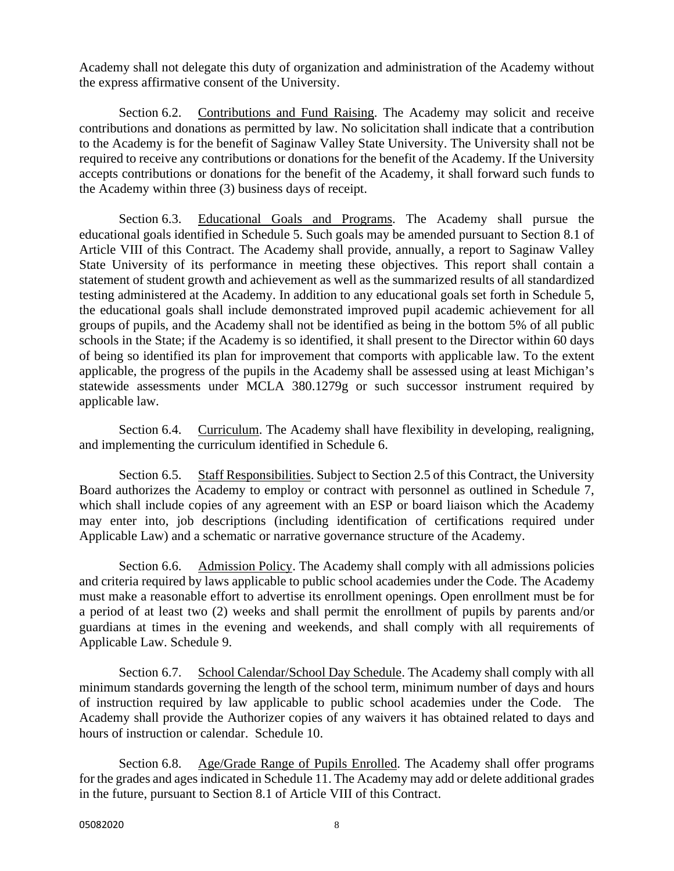Academy shall not delegate this duty of organization and administration of the Academy without the express affirmative consent of the University.

Section 6.2. Contributions and Fund Raising. The Academy may solicit and receive contributions and donations as permitted by law. No solicitation shall indicate that a contribution to the Academy is for the benefit of Saginaw Valley State University. The University shall not be required to receive any contributions or donations for the benefit of the Academy. If the University accepts contributions or donations for the benefit of the Academy, it shall forward such funds to the Academy within three (3) business days of receipt.

Section 6.3. Educational Goals and Programs. The Academy shall pursue the educational goals identified in Schedule 5. Such goals may be amended pursuant to Section 8.1 of Article VIII of this Contract. The Academy shall provide, annually, a report to Saginaw Valley State University of its performance in meeting these objectives. This report shall contain a statement of student growth and achievement as well as the summarized results of all standardized testing administered at the Academy. In addition to any educational goals set forth in Schedule 5, the educational goals shall include demonstrated improved pupil academic achievement for all groups of pupils, and the Academy shall not be identified as being in the bottom 5% of all public schools in the State; if the Academy is so identified, it shall present to the Director within 60 days of being so identified its plan for improvement that comports with applicable law. To the extent applicable, the progress of the pupils in the Academy shall be assessed using at least Michigan's statewide assessments under MCLA 380.1279g or such successor instrument required by applicable law.

Section 6.4. Curriculum. The Academy shall have flexibility in developing, realigning, and implementing the curriculum identified in Schedule 6.

Section 6.5. Staff Responsibilities. Subject to Section 2.5 of this Contract, the University Board authorizes the Academy to employ or contract with personnel as outlined in Schedule 7, which shall include copies of any agreement with an ESP or board liaison which the Academy may enter into, job descriptions (including identification of certifications required under Applicable Law) and a schematic or narrative governance structure of the Academy.

Section 6.6. Admission Policy. The Academy shall comply with all admissions policies and criteria required by laws applicable to public school academies under the Code. The Academy must make a reasonable effort to advertise its enrollment openings. Open enrollment must be for a period of at least two (2) weeks and shall permit the enrollment of pupils by parents and/or guardians at times in the evening and weekends, and shall comply with all requirements of Applicable Law. Schedule 9.

Section 6.7. School Calendar/School Day Schedule. The Academy shall comply with all minimum standards governing the length of the school term, minimum number of days and hours of instruction required by law applicable to public school academies under the Code. The Academy shall provide the Authorizer copies of any waivers it has obtained related to days and hours of instruction or calendar. Schedule 10.

Section 6.8. Age/Grade Range of Pupils Enrolled. The Academy shall offer programs for the grades and ages indicated in Schedule 11. The Academy may add or delete additional grades in the future, pursuant to Section 8.1 of Article VIII of this Contract.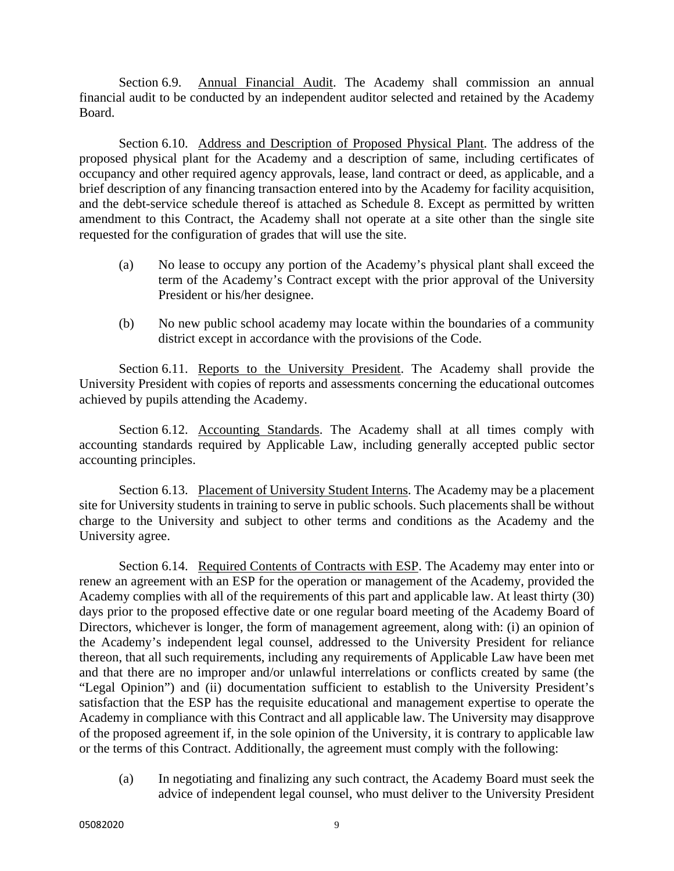Section 6.9. Annual Financial Audit. The Academy shall commission an annual financial audit to be conducted by an independent auditor selected and retained by the Academy Board.

Section 6.10. Address and Description of Proposed Physical Plant. The address of the proposed physical plant for the Academy and a description of same, including certificates of occupancy and other required agency approvals, lease, land contract or deed, as applicable, and a brief description of any financing transaction entered into by the Academy for facility acquisition, and the debt-service schedule thereof is attached as Schedule 8. Except as permitted by written amendment to this Contract, the Academy shall not operate at a site other than the single site requested for the configuration of grades that will use the site.

- (a) No lease to occupy any portion of the Academy's physical plant shall exceed the term of the Academy's Contract except with the prior approval of the University President or his/her designee.
- (b) No new public school academy may locate within the boundaries of a community district except in accordance with the provisions of the Code.

Section 6.11. Reports to the University President. The Academy shall provide the University President with copies of reports and assessments concerning the educational outcomes achieved by pupils attending the Academy.

Section 6.12. Accounting Standards. The Academy shall at all times comply with accounting standards required by Applicable Law, including generally accepted public sector accounting principles.

Section 6.13. Placement of University Student Interns. The Academy may be a placement site for University students in training to serve in public schools. Such placements shall be without charge to the University and subject to other terms and conditions as the Academy and the University agree.

Section 6.14. Required Contents of Contracts with ESP. The Academy may enter into or renew an agreement with an ESP for the operation or management of the Academy, provided the Academy complies with all of the requirements of this part and applicable law. At least thirty (30) days prior to the proposed effective date or one regular board meeting of the Academy Board of Directors, whichever is longer, the form of management agreement, along with: (i) an opinion of the Academy's independent legal counsel, addressed to the University President for reliance thereon, that all such requirements, including any requirements of Applicable Law have been met and that there are no improper and/or unlawful interrelations or conflicts created by same (the "Legal Opinion") and (ii) documentation sufficient to establish to the University President's satisfaction that the ESP has the requisite educational and management expertise to operate the Academy in compliance with this Contract and all applicable law. The University may disapprove of the proposed agreement if, in the sole opinion of the University, it is contrary to applicable law or the terms of this Contract. Additionally, the agreement must comply with the following:

(a) In negotiating and finalizing any such contract, the Academy Board must seek the advice of independent legal counsel, who must deliver to the University President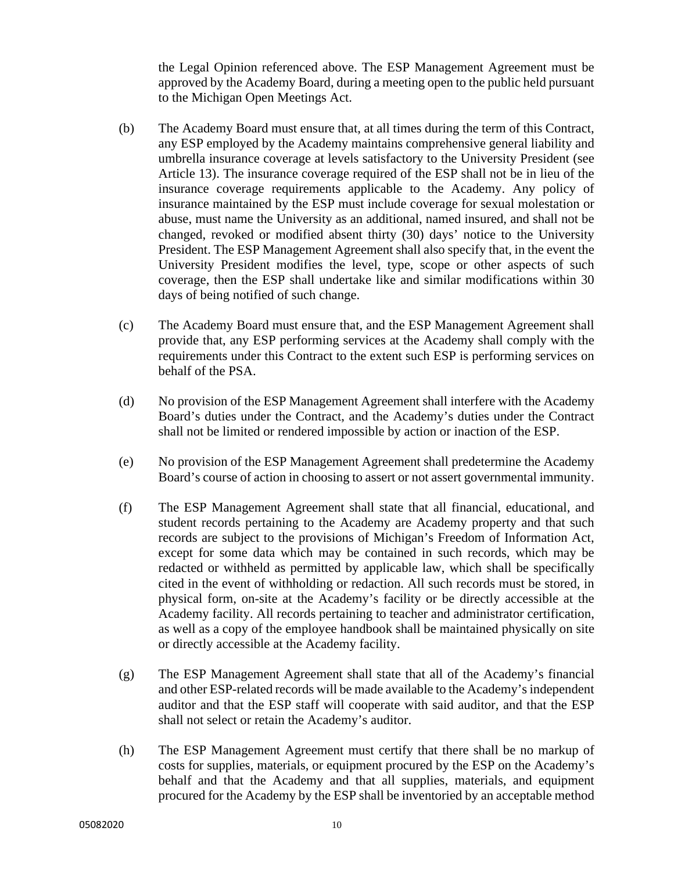the Legal Opinion referenced above. The ESP Management Agreement must be approved by the Academy Board, during a meeting open to the public held pursuant to the Michigan Open Meetings Act.

- (b) The Academy Board must ensure that, at all times during the term of this Contract, any ESP employed by the Academy maintains comprehensive general liability and umbrella insurance coverage at levels satisfactory to the University President (see Article 13). The insurance coverage required of the ESP shall not be in lieu of the insurance coverage requirements applicable to the Academy. Any policy of insurance maintained by the ESP must include coverage for sexual molestation or abuse, must name the University as an additional, named insured, and shall not be changed, revoked or modified absent thirty (30) days' notice to the University President. The ESP Management Agreement shall also specify that, in the event the University President modifies the level, type, scope or other aspects of such coverage, then the ESP shall undertake like and similar modifications within 30 days of being notified of such change.
- (c) The Academy Board must ensure that, and the ESP Management Agreement shall provide that, any ESP performing services at the Academy shall comply with the requirements under this Contract to the extent such ESP is performing services on behalf of the PSA.
- (d) No provision of the ESP Management Agreement shall interfere with the Academy Board's duties under the Contract, and the Academy's duties under the Contract shall not be limited or rendered impossible by action or inaction of the ESP.
- (e) No provision of the ESP Management Agreement shall predetermine the Academy Board's course of action in choosing to assert or not assert governmental immunity.
- (f) The ESP Management Agreement shall state that all financial, educational, and student records pertaining to the Academy are Academy property and that such records are subject to the provisions of Michigan's Freedom of Information Act, except for some data which may be contained in such records, which may be redacted or withheld as permitted by applicable law, which shall be specifically cited in the event of withholding or redaction. All such records must be stored, in physical form, on-site at the Academy's facility or be directly accessible at the Academy facility. All records pertaining to teacher and administrator certification, as well as a copy of the employee handbook shall be maintained physically on site or directly accessible at the Academy facility.
- (g) The ESP Management Agreement shall state that all of the Academy's financial and other ESP-related records will be made available to the Academy's independent auditor and that the ESP staff will cooperate with said auditor, and that the ESP shall not select or retain the Academy's auditor.
- (h) The ESP Management Agreement must certify that there shall be no markup of costs for supplies, materials, or equipment procured by the ESP on the Academy's behalf and that the Academy and that all supplies, materials, and equipment procured for the Academy by the ESP shall be inventoried by an acceptable method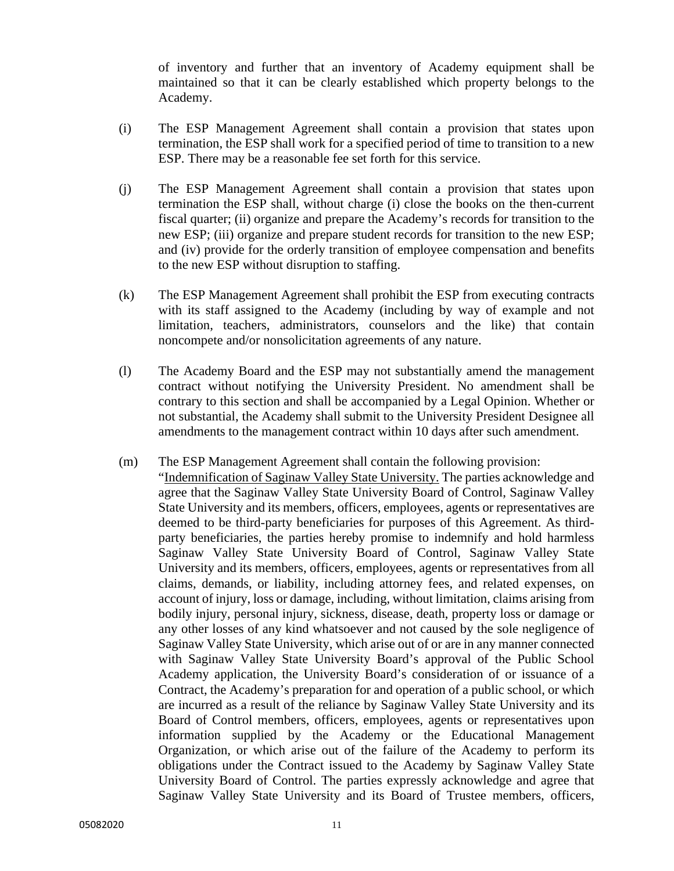of inventory and further that an inventory of Academy equipment shall be maintained so that it can be clearly established which property belongs to the Academy.

- (i) The ESP Management Agreement shall contain a provision that states upon termination, the ESP shall work for a specified period of time to transition to a new ESP. There may be a reasonable fee set forth for this service.
- (j) The ESP Management Agreement shall contain a provision that states upon termination the ESP shall, without charge (i) close the books on the then-current fiscal quarter; (ii) organize and prepare the Academy's records for transition to the new ESP; (iii) organize and prepare student records for transition to the new ESP; and (iv) provide for the orderly transition of employee compensation and benefits to the new ESP without disruption to staffing.
- (k) The ESP Management Agreement shall prohibit the ESP from executing contracts with its staff assigned to the Academy (including by way of example and not limitation, teachers, administrators, counselors and the like) that contain noncompete and/or nonsolicitation agreements of any nature.
- (l) The Academy Board and the ESP may not substantially amend the management contract without notifying the University President. No amendment shall be contrary to this section and shall be accompanied by a Legal Opinion. Whether or not substantial, the Academy shall submit to the University President Designee all amendments to the management contract within 10 days after such amendment.

#### (m) The ESP Management Agreement shall contain the following provision:

"Indemnification of Saginaw Valley State University. The parties acknowledge and agree that the Saginaw Valley State University Board of Control, Saginaw Valley State University and its members, officers, employees, agents or representatives are deemed to be third-party beneficiaries for purposes of this Agreement. As thirdparty beneficiaries, the parties hereby promise to indemnify and hold harmless Saginaw Valley State University Board of Control, Saginaw Valley State University and its members, officers, employees, agents or representatives from all claims, demands, or liability, including attorney fees, and related expenses, on account of injury, loss or damage, including, without limitation, claims arising from bodily injury, personal injury, sickness, disease, death, property loss or damage or any other losses of any kind whatsoever and not caused by the sole negligence of Saginaw Valley State University, which arise out of or are in any manner connected with Saginaw Valley State University Board's approval of the Public School Academy application, the University Board's consideration of or issuance of a Contract, the Academy's preparation for and operation of a public school, or which are incurred as a result of the reliance by Saginaw Valley State University and its Board of Control members, officers, employees, agents or representatives upon information supplied by the Academy or the Educational Management Organization, or which arise out of the failure of the Academy to perform its obligations under the Contract issued to the Academy by Saginaw Valley State University Board of Control. The parties expressly acknowledge and agree that Saginaw Valley State University and its Board of Trustee members, officers,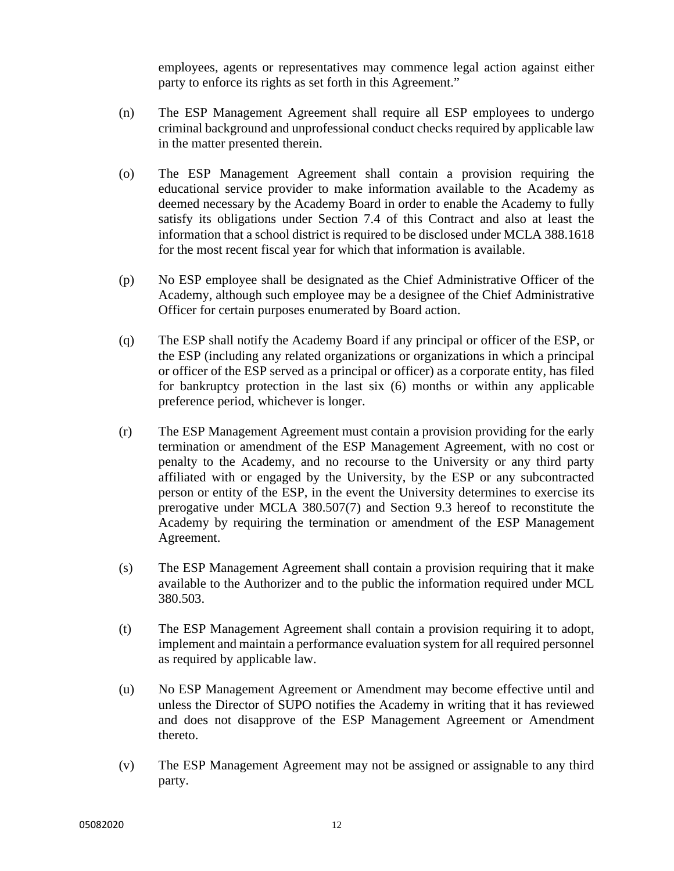employees, agents or representatives may commence legal action against either party to enforce its rights as set forth in this Agreement."

- (n) The ESP Management Agreement shall require all ESP employees to undergo criminal background and unprofessional conduct checks required by applicable law in the matter presented therein.
- (o) The ESP Management Agreement shall contain a provision requiring the educational service provider to make information available to the Academy as deemed necessary by the Academy Board in order to enable the Academy to fully satisfy its obligations under Section 7.4 of this Contract and also at least the information that a school district is required to be disclosed under MCLA 388.1618 for the most recent fiscal year for which that information is available.
- (p) No ESP employee shall be designated as the Chief Administrative Officer of the Academy, although such employee may be a designee of the Chief Administrative Officer for certain purposes enumerated by Board action.
- (q) The ESP shall notify the Academy Board if any principal or officer of the ESP, or the ESP (including any related organizations or organizations in which a principal or officer of the ESP served as a principal or officer) as a corporate entity, has filed for bankruptcy protection in the last six (6) months or within any applicable preference period, whichever is longer.
- (r) The ESP Management Agreement must contain a provision providing for the early termination or amendment of the ESP Management Agreement, with no cost or penalty to the Academy, and no recourse to the University or any third party affiliated with or engaged by the University, by the ESP or any subcontracted person or entity of the ESP, in the event the University determines to exercise its prerogative under MCLA 380.507(7) and Section 9.3 hereof to reconstitute the Academy by requiring the termination or amendment of the ESP Management Agreement.
- (s) The ESP Management Agreement shall contain a provision requiring that it make available to the Authorizer and to the public the information required under MCL 380.503.
- (t) The ESP Management Agreement shall contain a provision requiring it to adopt, implement and maintain a performance evaluation system for all required personnel as required by applicable law.
- (u) No ESP Management Agreement or Amendment may become effective until and unless the Director of SUPO notifies the Academy in writing that it has reviewed and does not disapprove of the ESP Management Agreement or Amendment thereto.
- (v) The ESP Management Agreement may not be assigned or assignable to any third party.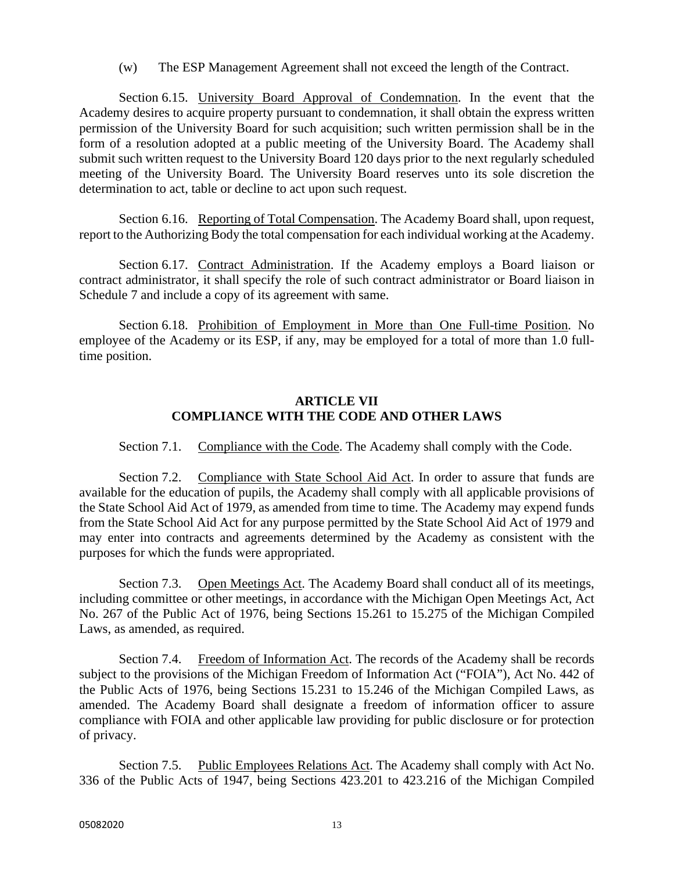(w) The ESP Management Agreement shall not exceed the length of the Contract.

Section 6.15. University Board Approval of Condemnation. In the event that the Academy desires to acquire property pursuant to condemnation, it shall obtain the express written permission of the University Board for such acquisition; such written permission shall be in the form of a resolution adopted at a public meeting of the University Board. The Academy shall submit such written request to the University Board 120 days prior to the next regularly scheduled meeting of the University Board. The University Board reserves unto its sole discretion the determination to act, table or decline to act upon such request.

Section 6.16. Reporting of Total Compensation. The Academy Board shall, upon request, report to the Authorizing Body the total compensation for each individual working at the Academy.

Section 6.17. Contract Administration. If the Academy employs a Board liaison or contract administrator, it shall specify the role of such contract administrator or Board liaison in Schedule 7 and include a copy of its agreement with same.

Section 6.18. Prohibition of Employment in More than One Full-time Position. No employee of the Academy or its ESP, if any, may be employed for a total of more than 1.0 fulltime position.

#### **ARTICLE VII COMPLIANCE WITH THE CODE AND OTHER LAWS**

Section 7.1. Compliance with the Code. The Academy shall comply with the Code.

Section 7.2. Compliance with State School Aid Act. In order to assure that funds are available for the education of pupils, the Academy shall comply with all applicable provisions of the State School Aid Act of 1979, as amended from time to time. The Academy may expend funds from the State School Aid Act for any purpose permitted by the State School Aid Act of 1979 and may enter into contracts and agreements determined by the Academy as consistent with the purposes for which the funds were appropriated.

Section 7.3. Open Meetings Act. The Academy Board shall conduct all of its meetings, including committee or other meetings, in accordance with the Michigan Open Meetings Act, Act No. 267 of the Public Act of 1976, being Sections 15.261 to 15.275 of the Michigan Compiled Laws, as amended, as required.

Section 7.4. Freedom of Information Act. The records of the Academy shall be records subject to the provisions of the Michigan Freedom of Information Act ("FOIA"), Act No. 442 of the Public Acts of 1976, being Sections 15.231 to 15.246 of the Michigan Compiled Laws, as amended. The Academy Board shall designate a freedom of information officer to assure compliance with FOIA and other applicable law providing for public disclosure or for protection of privacy.

Section 7.5. Public Employees Relations Act. The Academy shall comply with Act No. 336 of the Public Acts of 1947, being Sections 423.201 to 423.216 of the Michigan Compiled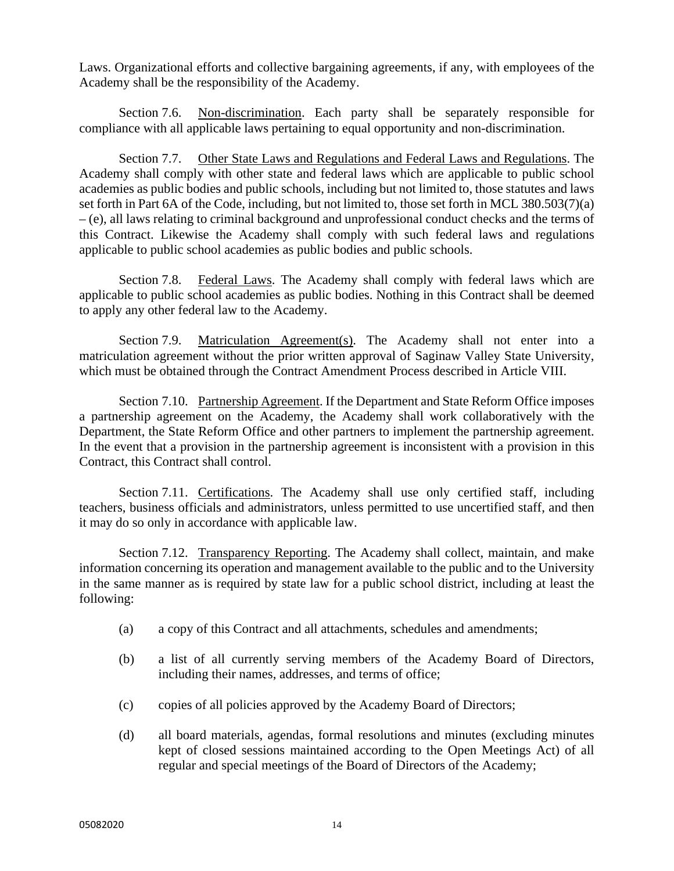Laws. Organizational efforts and collective bargaining agreements, if any, with employees of the Academy shall be the responsibility of the Academy.

Section 7.6. Non-discrimination. Each party shall be separately responsible for compliance with all applicable laws pertaining to equal opportunity and non-discrimination.

Section 7.7. Other State Laws and Regulations and Federal Laws and Regulations. The Academy shall comply with other state and federal laws which are applicable to public school academies as public bodies and public schools, including but not limited to, those statutes and laws set forth in Part 6A of the Code, including, but not limited to, those set forth in MCL 380.503(7)(a) – (e), all laws relating to criminal background and unprofessional conduct checks and the terms of this Contract. Likewise the Academy shall comply with such federal laws and regulations applicable to public school academies as public bodies and public schools.

Section 7.8. Federal Laws. The Academy shall comply with federal laws which are applicable to public school academies as public bodies. Nothing in this Contract shall be deemed to apply any other federal law to the Academy.

Section 7.9. Matriculation Agreement(s). The Academy shall not enter into a matriculation agreement without the prior written approval of Saginaw Valley State University, which must be obtained through the Contract Amendment Process described in Article VIII.

Section 7.10. Partnership Agreement. If the Department and State Reform Office imposes a partnership agreement on the Academy, the Academy shall work collaboratively with the Department, the State Reform Office and other partners to implement the partnership agreement. In the event that a provision in the partnership agreement is inconsistent with a provision in this Contract, this Contract shall control.

Section 7.11. Certifications. The Academy shall use only certified staff, including teachers, business officials and administrators, unless permitted to use uncertified staff, and then it may do so only in accordance with applicable law.

Section 7.12. Transparency Reporting. The Academy shall collect, maintain, and make information concerning its operation and management available to the public and to the University in the same manner as is required by state law for a public school district, including at least the following:

- (a) a copy of this Contract and all attachments, schedules and amendments;
- (b) a list of all currently serving members of the Academy Board of Directors, including their names, addresses, and terms of office;
- (c) copies of all policies approved by the Academy Board of Directors;
- (d) all board materials, agendas, formal resolutions and minutes (excluding minutes kept of closed sessions maintained according to the Open Meetings Act) of all regular and special meetings of the Board of Directors of the Academy;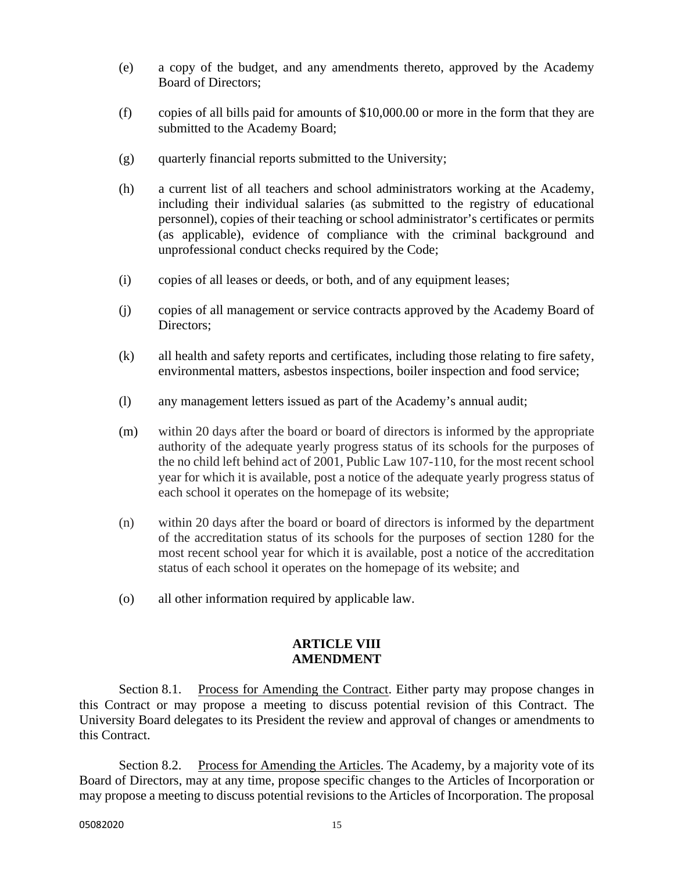- (e) a copy of the budget, and any amendments thereto, approved by the Academy Board of Directors;
- (f) copies of all bills paid for amounts of \$10,000.00 or more in the form that they are submitted to the Academy Board;
- $(g)$  quarterly financial reports submitted to the University;
- (h) a current list of all teachers and school administrators working at the Academy, including their individual salaries (as submitted to the registry of educational personnel), copies of their teaching or school administrator's certificates or permits (as applicable), evidence of compliance with the criminal background and unprofessional conduct checks required by the Code;
- (i) copies of all leases or deeds, or both, and of any equipment leases;
- (j) copies of all management or service contracts approved by the Academy Board of Directors;
- (k) all health and safety reports and certificates, including those relating to fire safety, environmental matters, asbestos inspections, boiler inspection and food service;
- (l) any management letters issued as part of the Academy's annual audit;
- (m) within 20 days after the board or board of directors is informed by the appropriate authority of the adequate yearly progress status of its schools for the purposes of the no child left behind act of 2001, Public Law 107-110, for the most recent school year for which it is available, post a notice of the adequate yearly progress status of each school it operates on the homepage of its website;
- (n) within 20 days after the board or board of directors is informed by the department of the accreditation status of its schools for the purposes of section 1280 for the most recent school year for which it is available, post a notice of the accreditation status of each school it operates on the homepage of its website; and
- (o) all other information required by applicable law.

#### **ARTICLE VIII AMENDMENT**

Section 8.1. Process for Amending the Contract. Either party may propose changes in this Contract or may propose a meeting to discuss potential revision of this Contract. The University Board delegates to its President the review and approval of changes or amendments to this Contract.

Section 8.2. Process for Amending the Articles. The Academy, by a majority vote of its Board of Directors, may at any time, propose specific changes to the Articles of Incorporation or may propose a meeting to discuss potential revisions to the Articles of Incorporation. The proposal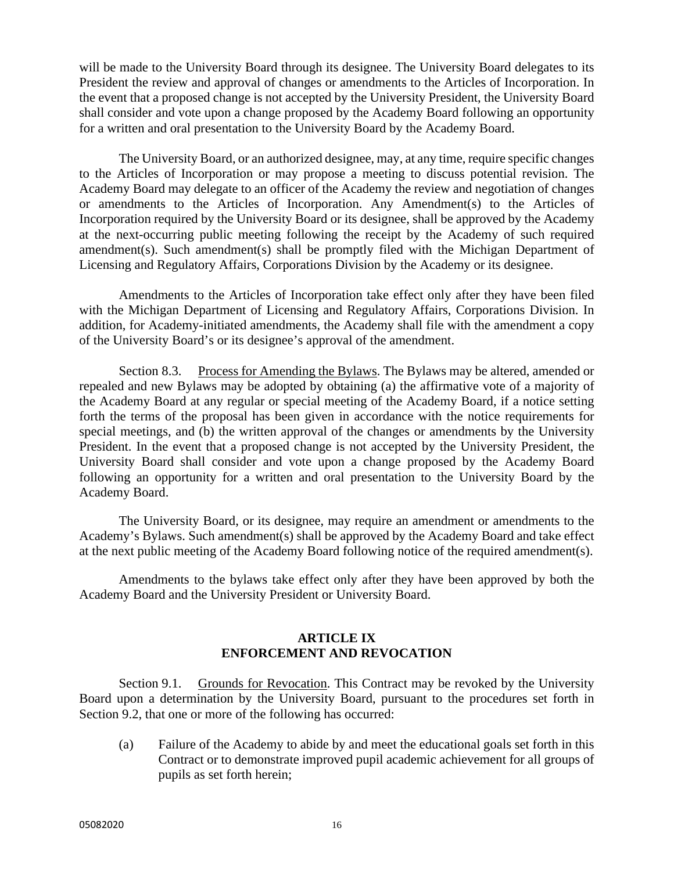will be made to the University Board through its designee. The University Board delegates to its President the review and approval of changes or amendments to the Articles of Incorporation. In the event that a proposed change is not accepted by the University President, the University Board shall consider and vote upon a change proposed by the Academy Board following an opportunity for a written and oral presentation to the University Board by the Academy Board.

 The University Board, or an authorized designee, may, at any time, require specific changes to the Articles of Incorporation or may propose a meeting to discuss potential revision. The Academy Board may delegate to an officer of the Academy the review and negotiation of changes or amendments to the Articles of Incorporation. Any Amendment(s) to the Articles of Incorporation required by the University Board or its designee, shall be approved by the Academy at the next-occurring public meeting following the receipt by the Academy of such required amendment(s). Such amendment(s) shall be promptly filed with the Michigan Department of Licensing and Regulatory Affairs, Corporations Division by the Academy or its designee.

 Amendments to the Articles of Incorporation take effect only after they have been filed with the Michigan Department of Licensing and Regulatory Affairs, Corporations Division. In addition, for Academy-initiated amendments, the Academy shall file with the amendment a copy of the University Board's or its designee's approval of the amendment.

Section 8.3. Process for Amending the Bylaws. The Bylaws may be altered, amended or repealed and new Bylaws may be adopted by obtaining (a) the affirmative vote of a majority of the Academy Board at any regular or special meeting of the Academy Board, if a notice setting forth the terms of the proposal has been given in accordance with the notice requirements for special meetings, and (b) the written approval of the changes or amendments by the University President. In the event that a proposed change is not accepted by the University President, the University Board shall consider and vote upon a change proposed by the Academy Board following an opportunity for a written and oral presentation to the University Board by the Academy Board.

The University Board, or its designee, may require an amendment or amendments to the Academy's Bylaws. Such amendment(s) shall be approved by the Academy Board and take effect at the next public meeting of the Academy Board following notice of the required amendment(s).

Amendments to the bylaws take effect only after they have been approved by both the Academy Board and the University President or University Board.

# **ARTICLE IX ENFORCEMENT AND REVOCATION**

Section 9.1. Grounds for Revocation. This Contract may be revoked by the University Board upon a determination by the University Board, pursuant to the procedures set forth in Section 9.2, that one or more of the following has occurred:

(a) Failure of the Academy to abide by and meet the educational goals set forth in this Contract or to demonstrate improved pupil academic achievement for all groups of pupils as set forth herein;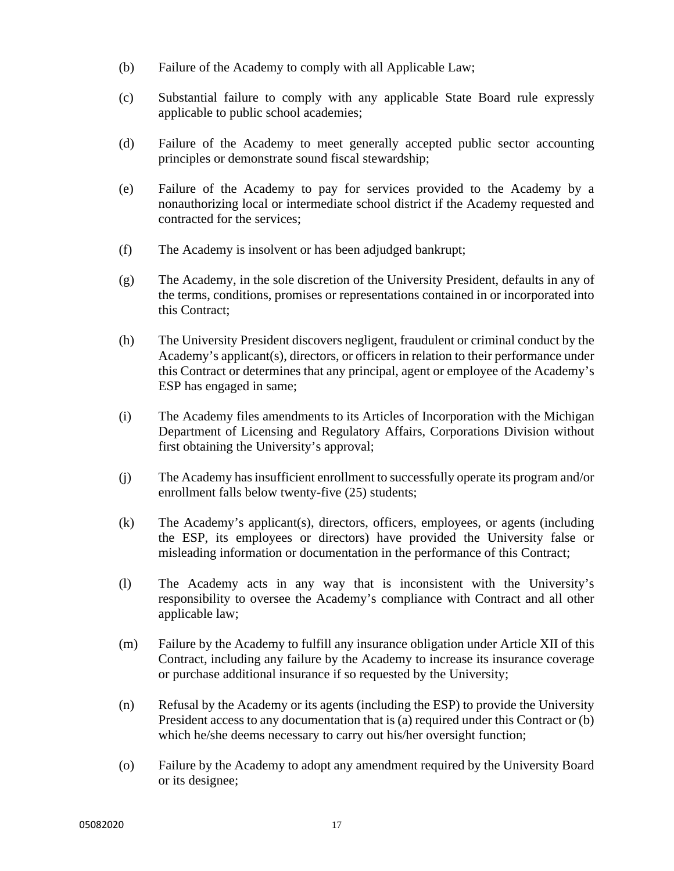- (b) Failure of the Academy to comply with all Applicable Law;
- (c) Substantial failure to comply with any applicable State Board rule expressly applicable to public school academies;
- (d) Failure of the Academy to meet generally accepted public sector accounting principles or demonstrate sound fiscal stewardship;
- (e) Failure of the Academy to pay for services provided to the Academy by a nonauthorizing local or intermediate school district if the Academy requested and contracted for the services;
- (f) The Academy is insolvent or has been adjudged bankrupt;
- (g) The Academy, in the sole discretion of the University President, defaults in any of the terms, conditions, promises or representations contained in or incorporated into this Contract;
- (h) The University President discovers negligent, fraudulent or criminal conduct by the Academy's applicant(s), directors, or officers in relation to their performance under this Contract or determines that any principal, agent or employee of the Academy's ESP has engaged in same;
- (i) The Academy files amendments to its Articles of Incorporation with the Michigan Department of Licensing and Regulatory Affairs, Corporations Division without first obtaining the University's approval;
- (j) The Academy has insufficient enrollment to successfully operate its program and/or enrollment falls below twenty-five (25) students;
- (k) The Academy's applicant(s), directors, officers, employees, or agents (including the ESP, its employees or directors) have provided the University false or misleading information or documentation in the performance of this Contract;
- (l) The Academy acts in any way that is inconsistent with the University's responsibility to oversee the Academy's compliance with Contract and all other applicable law;
- (m) Failure by the Academy to fulfill any insurance obligation under Article XII of this Contract, including any failure by the Academy to increase its insurance coverage or purchase additional insurance if so requested by the University;
- (n) Refusal by the Academy or its agents (including the ESP) to provide the University President access to any documentation that is (a) required under this Contract or (b) which he/she deems necessary to carry out his/her oversight function;
- (o) Failure by the Academy to adopt any amendment required by the University Board or its designee;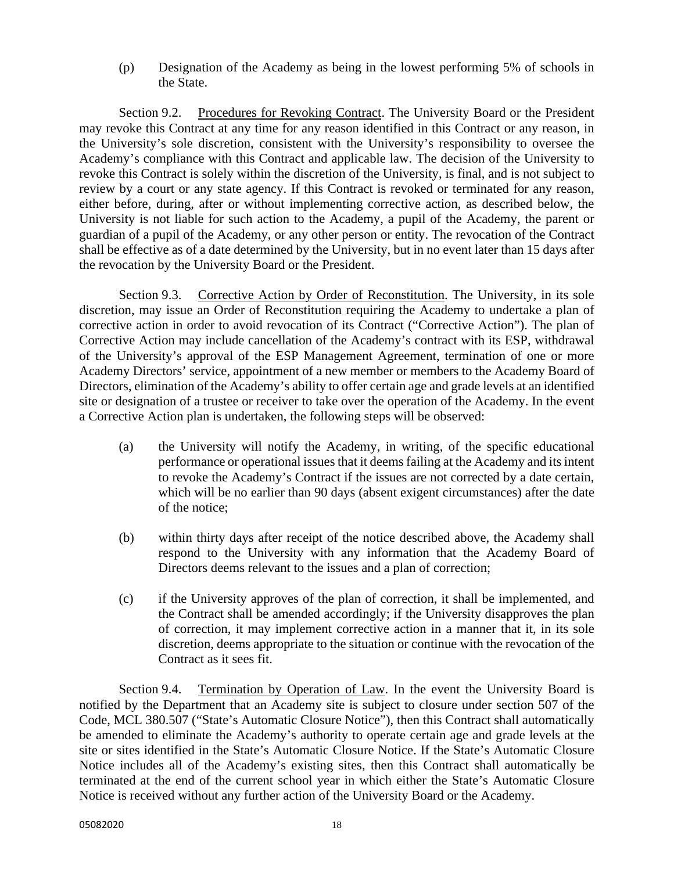(p) Designation of the Academy as being in the lowest performing 5% of schools in the State.

Section 9.2. Procedures for Revoking Contract. The University Board or the President may revoke this Contract at any time for any reason identified in this Contract or any reason, in the University's sole discretion, consistent with the University's responsibility to oversee the Academy's compliance with this Contract and applicable law. The decision of the University to revoke this Contract is solely within the discretion of the University, is final, and is not subject to review by a court or any state agency. If this Contract is revoked or terminated for any reason, either before, during, after or without implementing corrective action, as described below, the University is not liable for such action to the Academy, a pupil of the Academy, the parent or guardian of a pupil of the Academy, or any other person or entity. The revocation of the Contract shall be effective as of a date determined by the University, but in no event later than 15 days after the revocation by the University Board or the President.

Section 9.3. Corrective Action by Order of Reconstitution. The University, in its sole discretion, may issue an Order of Reconstitution requiring the Academy to undertake a plan of corrective action in order to avoid revocation of its Contract ("Corrective Action"). The plan of Corrective Action may include cancellation of the Academy's contract with its ESP, withdrawal of the University's approval of the ESP Management Agreement, termination of one or more Academy Directors' service, appointment of a new member or members to the Academy Board of Directors, elimination of the Academy's ability to offer certain age and grade levels at an identified site or designation of a trustee or receiver to take over the operation of the Academy. In the event a Corrective Action plan is undertaken, the following steps will be observed:

- (a) the University will notify the Academy, in writing, of the specific educational performance or operational issues that it deems failing at the Academy and its intent to revoke the Academy's Contract if the issues are not corrected by a date certain, which will be no earlier than 90 days (absent exigent circumstances) after the date of the notice;
- (b) within thirty days after receipt of the notice described above, the Academy shall respond to the University with any information that the Academy Board of Directors deems relevant to the issues and a plan of correction;
- (c) if the University approves of the plan of correction, it shall be implemented, and the Contract shall be amended accordingly; if the University disapproves the plan of correction, it may implement corrective action in a manner that it, in its sole discretion, deems appropriate to the situation or continue with the revocation of the Contract as it sees fit.

Section 9.4. Termination by Operation of Law. In the event the University Board is notified by the Department that an Academy site is subject to closure under section 507 of the Code, MCL 380.507 ("State's Automatic Closure Notice"), then this Contract shall automatically be amended to eliminate the Academy's authority to operate certain age and grade levels at the site or sites identified in the State's Automatic Closure Notice. If the State's Automatic Closure Notice includes all of the Academy's existing sites, then this Contract shall automatically be terminated at the end of the current school year in which either the State's Automatic Closure Notice is received without any further action of the University Board or the Academy.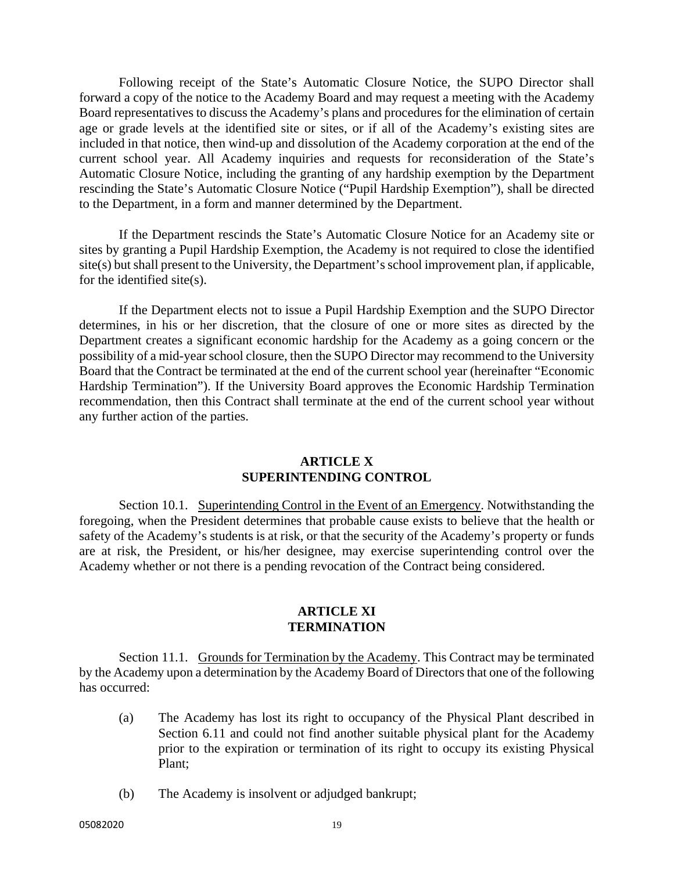Following receipt of the State's Automatic Closure Notice, the SUPO Director shall forward a copy of the notice to the Academy Board and may request a meeting with the Academy Board representatives to discuss the Academy's plans and procedures for the elimination of certain age or grade levels at the identified site or sites, or if all of the Academy's existing sites are included in that notice, then wind-up and dissolution of the Academy corporation at the end of the current school year. All Academy inquiries and requests for reconsideration of the State's Automatic Closure Notice, including the granting of any hardship exemption by the Department rescinding the State's Automatic Closure Notice ("Pupil Hardship Exemption"), shall be directed to the Department, in a form and manner determined by the Department.

If the Department rescinds the State's Automatic Closure Notice for an Academy site or sites by granting a Pupil Hardship Exemption, the Academy is not required to close the identified site(s) but shall present to the University, the Department's school improvement plan, if applicable, for the identified site(s).

If the Department elects not to issue a Pupil Hardship Exemption and the SUPO Director determines, in his or her discretion, that the closure of one or more sites as directed by the Department creates a significant economic hardship for the Academy as a going concern or the possibility of a mid-year school closure, then the SUPO Director may recommend to the University Board that the Contract be terminated at the end of the current school year (hereinafter "Economic Hardship Termination"). If the University Board approves the Economic Hardship Termination recommendation, then this Contract shall terminate at the end of the current school year without any further action of the parties.

#### **ARTICLE X SUPERINTENDING CONTROL**

Section 10.1. Superintending Control in the Event of an Emergency. Notwithstanding the foregoing, when the President determines that probable cause exists to believe that the health or safety of the Academy's students is at risk, or that the security of the Academy's property or funds are at risk, the President, or his/her designee, may exercise superintending control over the Academy whether or not there is a pending revocation of the Contract being considered.

#### **ARTICLE XI TERMINATION**

Section 11.1. Grounds for Termination by the Academy. This Contract may be terminated by the Academy upon a determination by the Academy Board of Directors that one of the following has occurred:

- (a) The Academy has lost its right to occupancy of the Physical Plant described in Section 6.11 and could not find another suitable physical plant for the Academy prior to the expiration or termination of its right to occupy its existing Physical Plant;
- (b) The Academy is insolvent or adjudged bankrupt;

05082020 19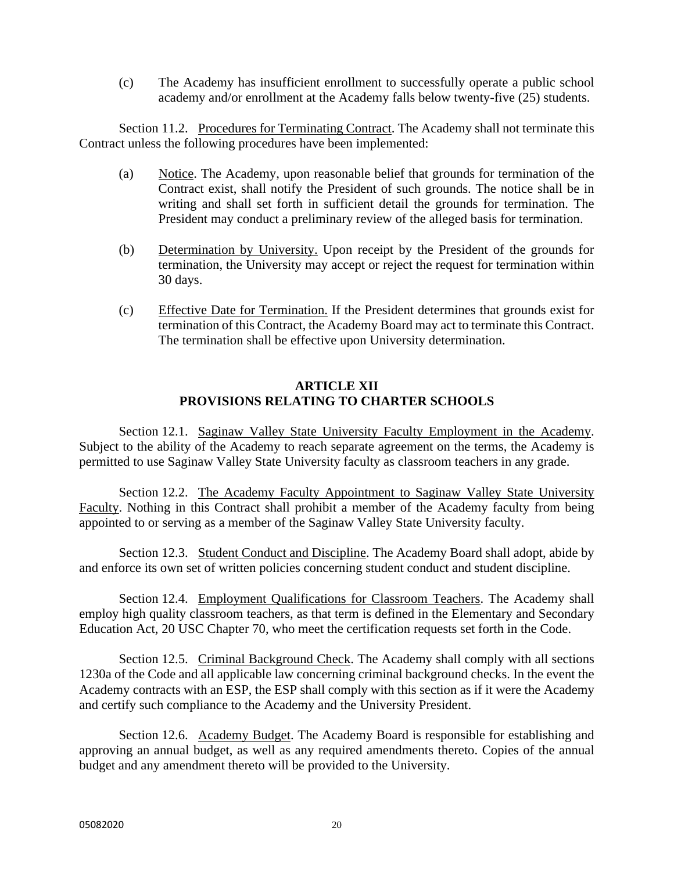(c) The Academy has insufficient enrollment to successfully operate a public school academy and/or enrollment at the Academy falls below twenty-five (25) students.

Section 11.2. Procedures for Terminating Contract. The Academy shall not terminate this Contract unless the following procedures have been implemented:

- (a) Notice. The Academy, upon reasonable belief that grounds for termination of the Contract exist, shall notify the President of such grounds. The notice shall be in writing and shall set forth in sufficient detail the grounds for termination. The President may conduct a preliminary review of the alleged basis for termination.
- (b) Determination by University. Upon receipt by the President of the grounds for termination, the University may accept or reject the request for termination within 30 days.
- (c) Effective Date for Termination. If the President determines that grounds exist for termination of this Contract, the Academy Board may act to terminate this Contract. The termination shall be effective upon University determination.

# **ARTICLE XII PROVISIONS RELATING TO CHARTER SCHOOLS**

Section 12.1. Saginaw Valley State University Faculty Employment in the Academy. Subject to the ability of the Academy to reach separate agreement on the terms, the Academy is permitted to use Saginaw Valley State University faculty as classroom teachers in any grade.

Section 12.2. The Academy Faculty Appointment to Saginaw Valley State University Faculty. Nothing in this Contract shall prohibit a member of the Academy faculty from being appointed to or serving as a member of the Saginaw Valley State University faculty.

Section 12.3. Student Conduct and Discipline. The Academy Board shall adopt, abide by and enforce its own set of written policies concerning student conduct and student discipline.

Section 12.4. Employment Qualifications for Classroom Teachers. The Academy shall employ high quality classroom teachers, as that term is defined in the Elementary and Secondary Education Act, 20 USC Chapter 70, who meet the certification requests set forth in the Code.

Section 12.5. Criminal Background Check. The Academy shall comply with all sections 1230a of the Code and all applicable law concerning criminal background checks. In the event the Academy contracts with an ESP, the ESP shall comply with this section as if it were the Academy and certify such compliance to the Academy and the University President.

Section 12.6. Academy Budget. The Academy Board is responsible for establishing and approving an annual budget, as well as any required amendments thereto. Copies of the annual budget and any amendment thereto will be provided to the University.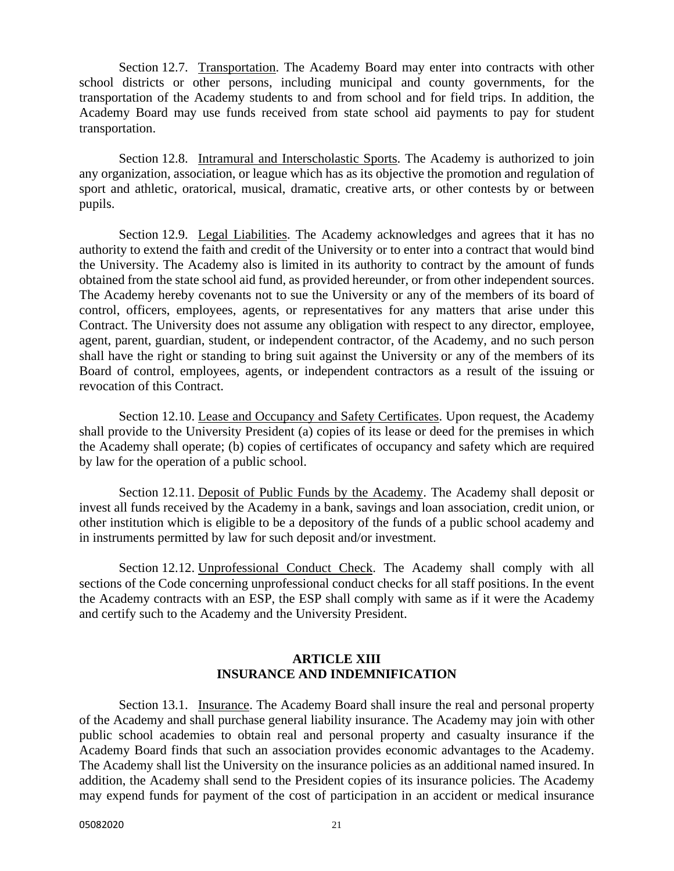Section 12.7. Transportation. The Academy Board may enter into contracts with other school districts or other persons, including municipal and county governments, for the transportation of the Academy students to and from school and for field trips. In addition, the Academy Board may use funds received from state school aid payments to pay for student transportation.

Section 12.8. Intramural and Interscholastic Sports. The Academy is authorized to join any organization, association, or league which has as its objective the promotion and regulation of sport and athletic, oratorical, musical, dramatic, creative arts, or other contests by or between pupils.

Section 12.9. Legal Liabilities. The Academy acknowledges and agrees that it has no authority to extend the faith and credit of the University or to enter into a contract that would bind the University. The Academy also is limited in its authority to contract by the amount of funds obtained from the state school aid fund, as provided hereunder, or from other independent sources. The Academy hereby covenants not to sue the University or any of the members of its board of control, officers, employees, agents, or representatives for any matters that arise under this Contract. The University does not assume any obligation with respect to any director, employee, agent, parent, guardian, student, or independent contractor, of the Academy, and no such person shall have the right or standing to bring suit against the University or any of the members of its Board of control, employees, agents, or independent contractors as a result of the issuing or revocation of this Contract.

Section 12.10. Lease and Occupancy and Safety Certificates. Upon request, the Academy shall provide to the University President (a) copies of its lease or deed for the premises in which the Academy shall operate; (b) copies of certificates of occupancy and safety which are required by law for the operation of a public school.

Section 12.11. Deposit of Public Funds by the Academy. The Academy shall deposit or invest all funds received by the Academy in a bank, savings and loan association, credit union, or other institution which is eligible to be a depository of the funds of a public school academy and in instruments permitted by law for such deposit and/or investment.

Section 12.12. Unprofessional Conduct Check. The Academy shall comply with all sections of the Code concerning unprofessional conduct checks for all staff positions. In the event the Academy contracts with an ESP, the ESP shall comply with same as if it were the Academy and certify such to the Academy and the University President.

# **ARTICLE XIII INSURANCE AND INDEMNIFICATION**

Section 13.1. Insurance. The Academy Board shall insure the real and personal property of the Academy and shall purchase general liability insurance. The Academy may join with other public school academies to obtain real and personal property and casualty insurance if the Academy Board finds that such an association provides economic advantages to the Academy. The Academy shall list the University on the insurance policies as an additional named insured. In addition, the Academy shall send to the President copies of its insurance policies. The Academy may expend funds for payment of the cost of participation in an accident or medical insurance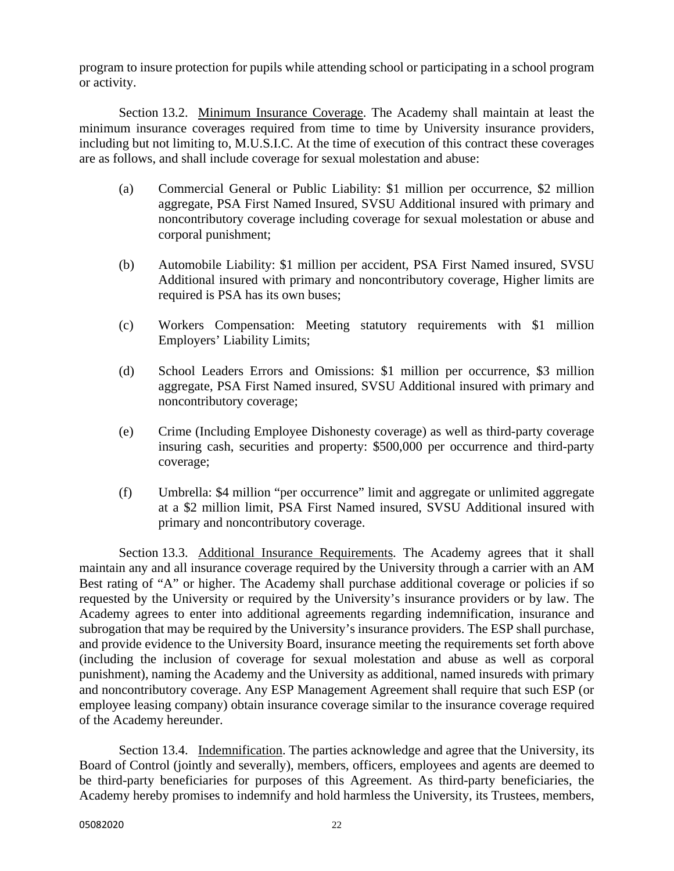program to insure protection for pupils while attending school or participating in a school program or activity.

Section 13.2. Minimum Insurance Coverage. The Academy shall maintain at least the minimum insurance coverages required from time to time by University insurance providers, including but not limiting to, M.U.S.I.C. At the time of execution of this contract these coverages are as follows, and shall include coverage for sexual molestation and abuse:

- (a) Commercial General or Public Liability: \$1 million per occurrence, \$2 million aggregate, PSA First Named Insured, SVSU Additional insured with primary and noncontributory coverage including coverage for sexual molestation or abuse and corporal punishment;
- (b) Automobile Liability: \$1 million per accident, PSA First Named insured, SVSU Additional insured with primary and noncontributory coverage, Higher limits are required is PSA has its own buses;
- (c) Workers Compensation: Meeting statutory requirements with \$1 million Employers' Liability Limits;
- (d) School Leaders Errors and Omissions: \$1 million per occurrence, \$3 million aggregate, PSA First Named insured, SVSU Additional insured with primary and noncontributory coverage;
- (e) Crime (Including Employee Dishonesty coverage) as well as third-party coverage insuring cash, securities and property: \$500,000 per occurrence and third-party coverage;
- (f) Umbrella: \$4 million "per occurrence" limit and aggregate or unlimited aggregate at a \$2 million limit, PSA First Named insured, SVSU Additional insured with primary and noncontributory coverage.

Section 13.3. Additional Insurance Requirements. The Academy agrees that it shall maintain any and all insurance coverage required by the University through a carrier with an AM Best rating of "A" or higher. The Academy shall purchase additional coverage or policies if so requested by the University or required by the University's insurance providers or by law. The Academy agrees to enter into additional agreements regarding indemnification, insurance and subrogation that may be required by the University's insurance providers. The ESP shall purchase, and provide evidence to the University Board, insurance meeting the requirements set forth above (including the inclusion of coverage for sexual molestation and abuse as well as corporal punishment), naming the Academy and the University as additional, named insureds with primary and noncontributory coverage. Any ESP Management Agreement shall require that such ESP (or employee leasing company) obtain insurance coverage similar to the insurance coverage required of the Academy hereunder.

Section 13.4. Indemnification. The parties acknowledge and agree that the University, its Board of Control (jointly and severally), members, officers, employees and agents are deemed to be third-party beneficiaries for purposes of this Agreement. As third-party beneficiaries, the Academy hereby promises to indemnify and hold harmless the University, its Trustees, members,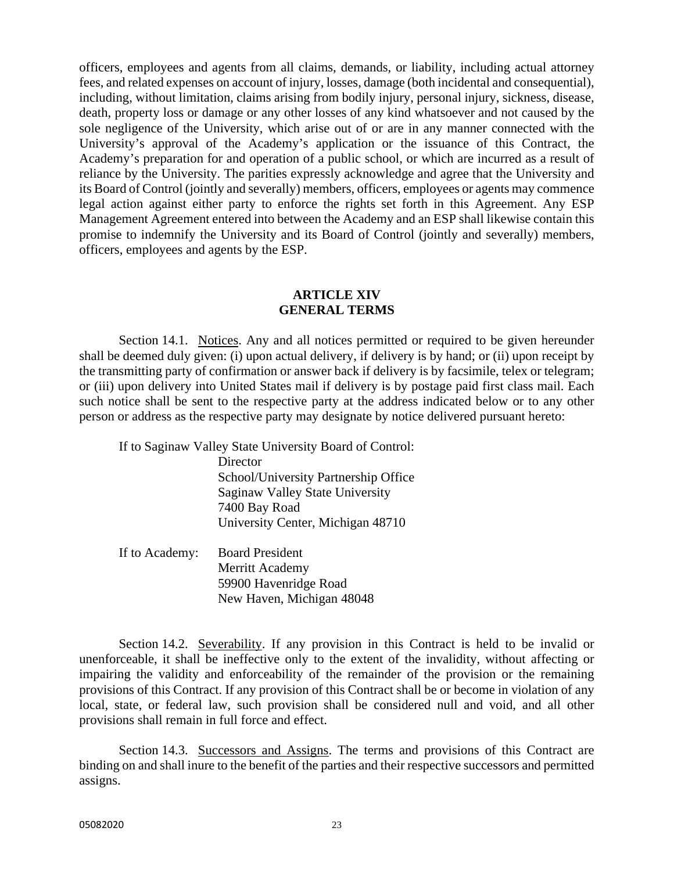officers, employees and agents from all claims, demands, or liability, including actual attorney fees, and related expenses on account of injury, losses, damage (both incidental and consequential), including, without limitation, claims arising from bodily injury, personal injury, sickness, disease, death, property loss or damage or any other losses of any kind whatsoever and not caused by the sole negligence of the University, which arise out of or are in any manner connected with the University's approval of the Academy's application or the issuance of this Contract, the Academy's preparation for and operation of a public school, or which are incurred as a result of reliance by the University. The parities expressly acknowledge and agree that the University and its Board of Control (jointly and severally) members, officers, employees or agents may commence legal action against either party to enforce the rights set forth in this Agreement. Any ESP Management Agreement entered into between the Academy and an ESP shall likewise contain this promise to indemnify the University and its Board of Control (jointly and severally) members, officers, employees and agents by the ESP.

#### **ARTICLE XIV GENERAL TERMS**

Section 14.1. Notices. Any and all notices permitted or required to be given hereunder shall be deemed duly given: (i) upon actual delivery, if delivery is by hand; or (ii) upon receipt by the transmitting party of confirmation or answer back if delivery is by facsimile, telex or telegram; or (iii) upon delivery into United States mail if delivery is by postage paid first class mail. Each such notice shall be sent to the respective party at the address indicated below or to any other person or address as the respective party may designate by notice delivered pursuant hereto:

If to Saginaw Valley State University Board of Control:

**Director**  School/University Partnership Office Saginaw Valley State University 7400 Bay Road University Center, Michigan 48710

 If to Academy: Board President Merritt Academy 59900 Havenridge Road New Haven, Michigan 48048

Section 14.2. Severability. If any provision in this Contract is held to be invalid or unenforceable, it shall be ineffective only to the extent of the invalidity, without affecting or impairing the validity and enforceability of the remainder of the provision or the remaining provisions of this Contract. If any provision of this Contract shall be or become in violation of any local, state, or federal law, such provision shall be considered null and void, and all other provisions shall remain in full force and effect.

Section 14.3. Successors and Assigns. The terms and provisions of this Contract are binding on and shall inure to the benefit of the parties and their respective successors and permitted assigns.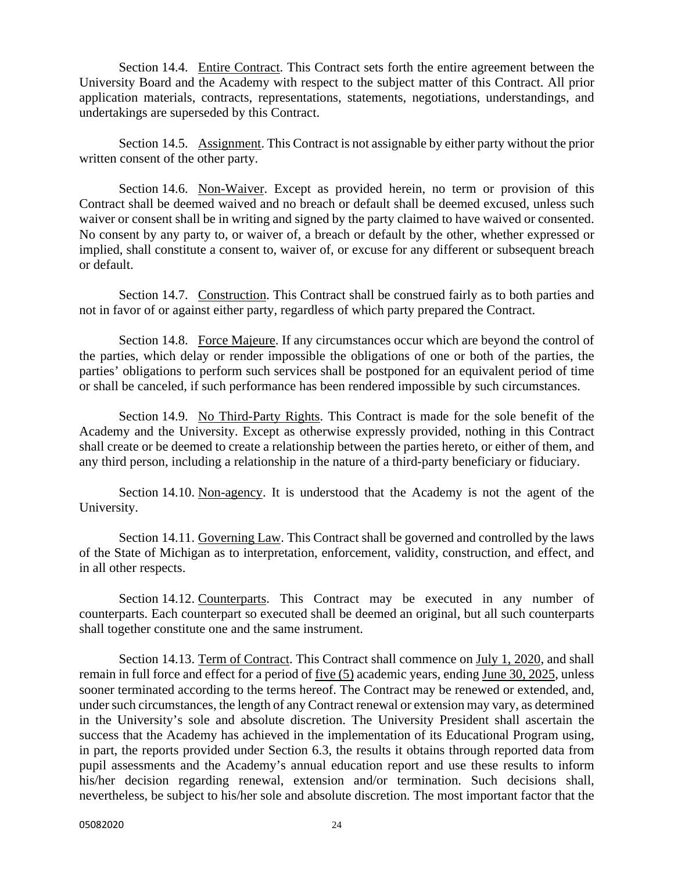Section 14.4. Entire Contract. This Contract sets forth the entire agreement between the University Board and the Academy with respect to the subject matter of this Contract. All prior application materials, contracts, representations, statements, negotiations, understandings, and undertakings are superseded by this Contract.

Section 14.5. Assignment. This Contract is not assignable by either party without the prior written consent of the other party.

Section 14.6. Non-Waiver. Except as provided herein, no term or provision of this Contract shall be deemed waived and no breach or default shall be deemed excused, unless such waiver or consent shall be in writing and signed by the party claimed to have waived or consented. No consent by any party to, or waiver of, a breach or default by the other, whether expressed or implied, shall constitute a consent to, waiver of, or excuse for any different or subsequent breach or default.

Section 14.7. Construction. This Contract shall be construed fairly as to both parties and not in favor of or against either party, regardless of which party prepared the Contract.

Section 14.8. Force Majeure. If any circumstances occur which are beyond the control of the parties, which delay or render impossible the obligations of one or both of the parties, the parties' obligations to perform such services shall be postponed for an equivalent period of time or shall be canceled, if such performance has been rendered impossible by such circumstances.

Section 14.9. No Third-Party Rights. This Contract is made for the sole benefit of the Academy and the University. Except as otherwise expressly provided, nothing in this Contract shall create or be deemed to create a relationship between the parties hereto, or either of them, and any third person, including a relationship in the nature of a third-party beneficiary or fiduciary.

Section 14.10. Non-agency. It is understood that the Academy is not the agent of the University.

Section 14.11. Governing Law. This Contract shall be governed and controlled by the laws of the State of Michigan as to interpretation, enforcement, validity, construction, and effect, and in all other respects.

Section 14.12. Counterparts. This Contract may be executed in any number of counterparts. Each counterpart so executed shall be deemed an original, but all such counterparts shall together constitute one and the same instrument.

Section 14.13. Term of Contract. This Contract shall commence on July 1, 2020, and shall remain in full force and effect for a period of five (5) academic years, ending June 30, 2025, unless sooner terminated according to the terms hereof. The Contract may be renewed or extended, and, under such circumstances, the length of any Contract renewal or extension may vary, as determined in the University's sole and absolute discretion. The University President shall ascertain the success that the Academy has achieved in the implementation of its Educational Program using, in part, the reports provided under Section 6.3, the results it obtains through reported data from pupil assessments and the Academy's annual education report and use these results to inform his/her decision regarding renewal, extension and/or termination. Such decisions shall, nevertheless, be subject to his/her sole and absolute discretion. The most important factor that the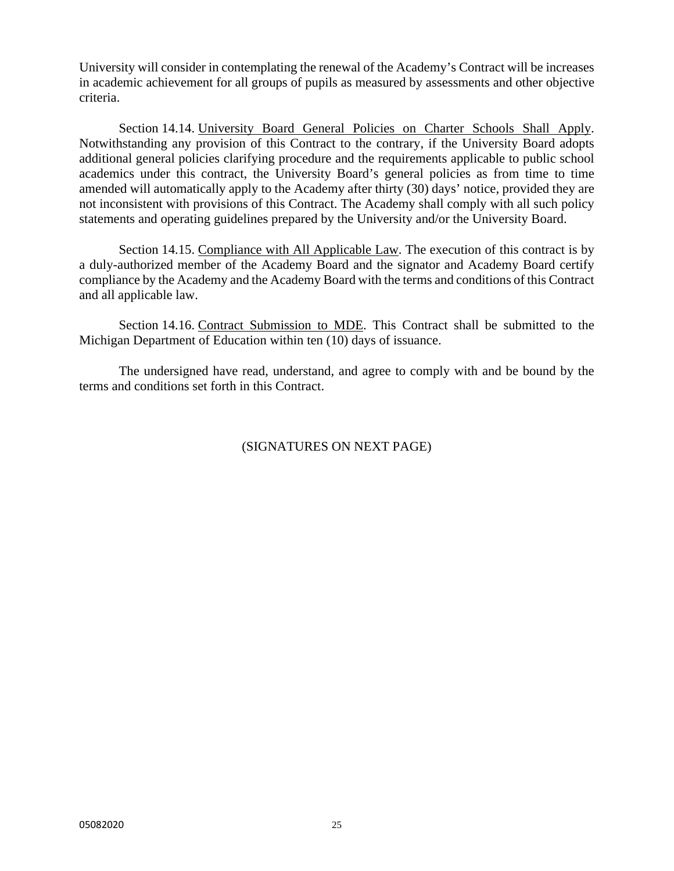University will consider in contemplating the renewal of the Academy's Contract will be increases in academic achievement for all groups of pupils as measured by assessments and other objective criteria.

Section 14.14. University Board General Policies on Charter Schools Shall Apply. Notwithstanding any provision of this Contract to the contrary, if the University Board adopts additional general policies clarifying procedure and the requirements applicable to public school academics under this contract, the University Board's general policies as from time to time amended will automatically apply to the Academy after thirty (30) days' notice, provided they are not inconsistent with provisions of this Contract. The Academy shall comply with all such policy statements and operating guidelines prepared by the University and/or the University Board.

Section 14.15. Compliance with All Applicable Law. The execution of this contract is by a duly-authorized member of the Academy Board and the signator and Academy Board certify compliance by the Academy and the Academy Board with the terms and conditions of this Contract and all applicable law.

Section 14.16. Contract Submission to MDE. This Contract shall be submitted to the Michigan Department of Education within ten (10) days of issuance.

 The undersigned have read, understand, and agree to comply with and be bound by the terms and conditions set forth in this Contract.

# (SIGNATURES ON NEXT PAGE)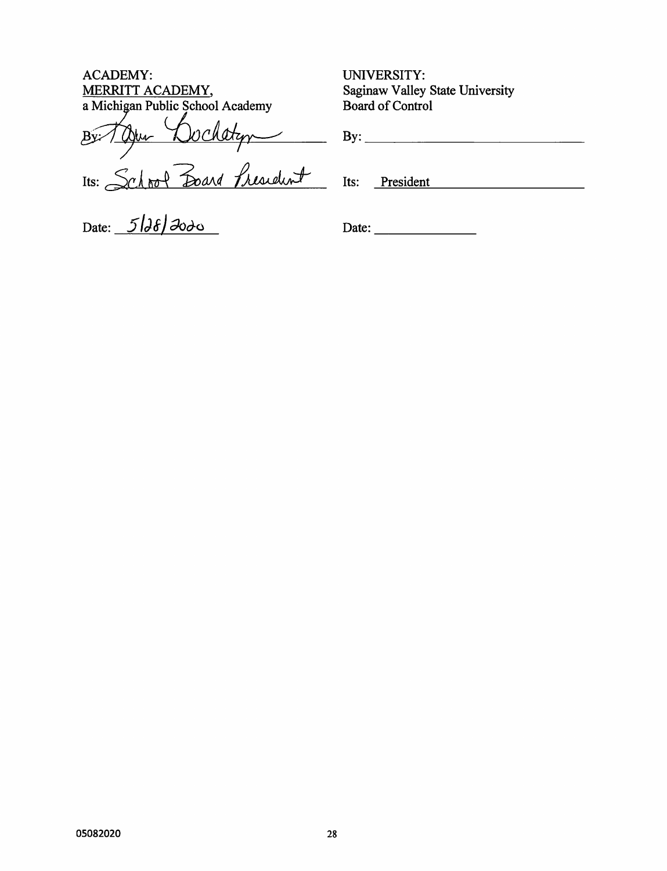**ACADEMY:** MERRITT ACADEMY, a Michigan Public School Academy

Britan Dochatyn

Date:  $5/36/300$ 

UNIVERSITY: Saginaw Valley State University **Board of Control** 

Its: President

Date: and the state of the state of the state of the state of the state of the state of the state of the state of the state of the state of the state of the state of the state of the state of the state of the state of the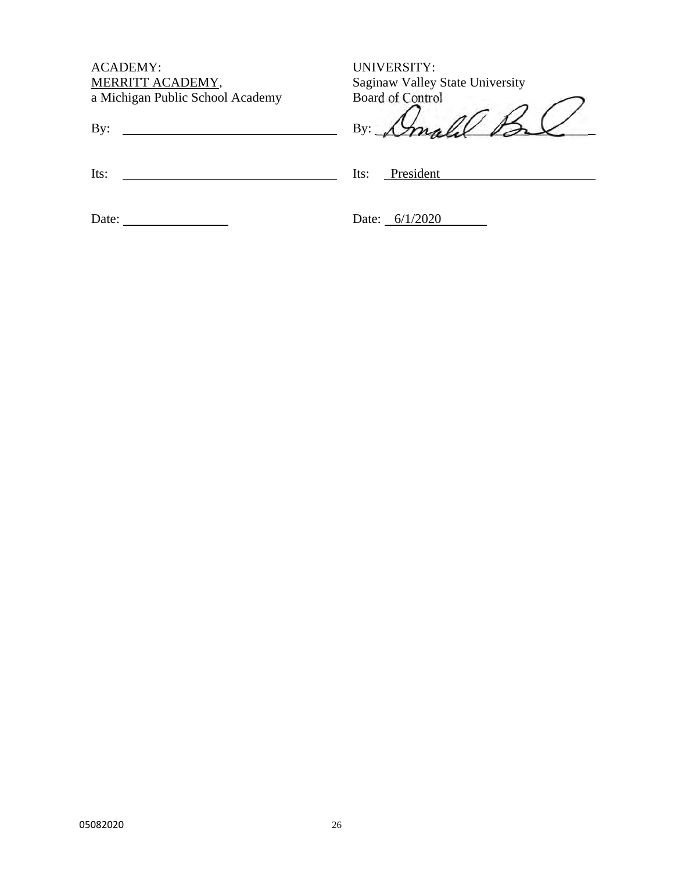| <b>ACADEMY:</b>                  |  |
|----------------------------------|--|
| MERRITT ACADEMY,                 |  |
| a Michigan Public School Academy |  |

By:

UNIVERSITY: Saginaw Valley State University Board of Control

 $\not\!\!\!\!\!\perp$ By: mp

Its:

Its: President

Date:

Date: 6/1/2020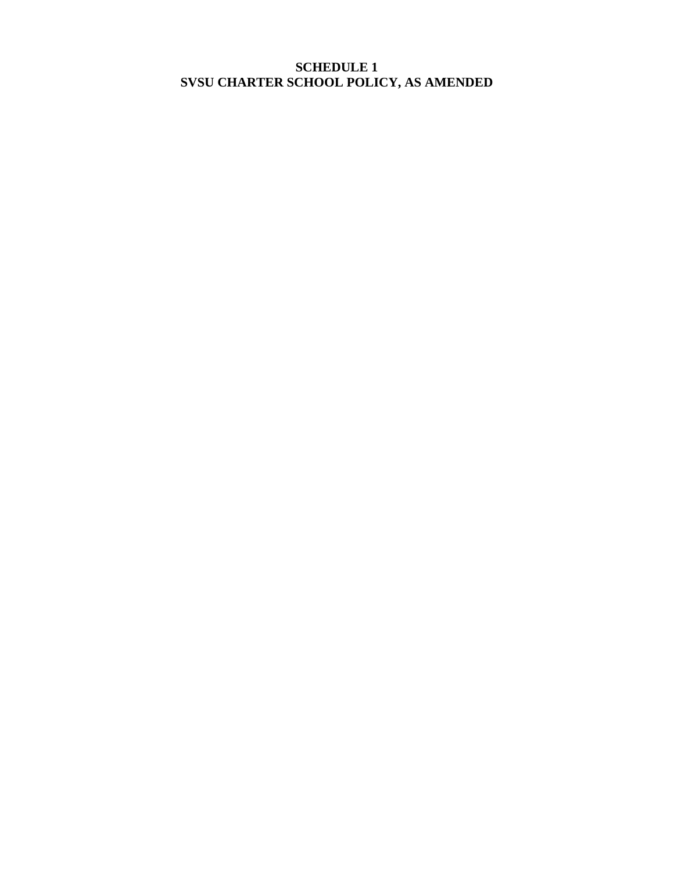# **SCHEDULE 1 SVSU CHARTER SCHOOL POLICY, AS AMENDED**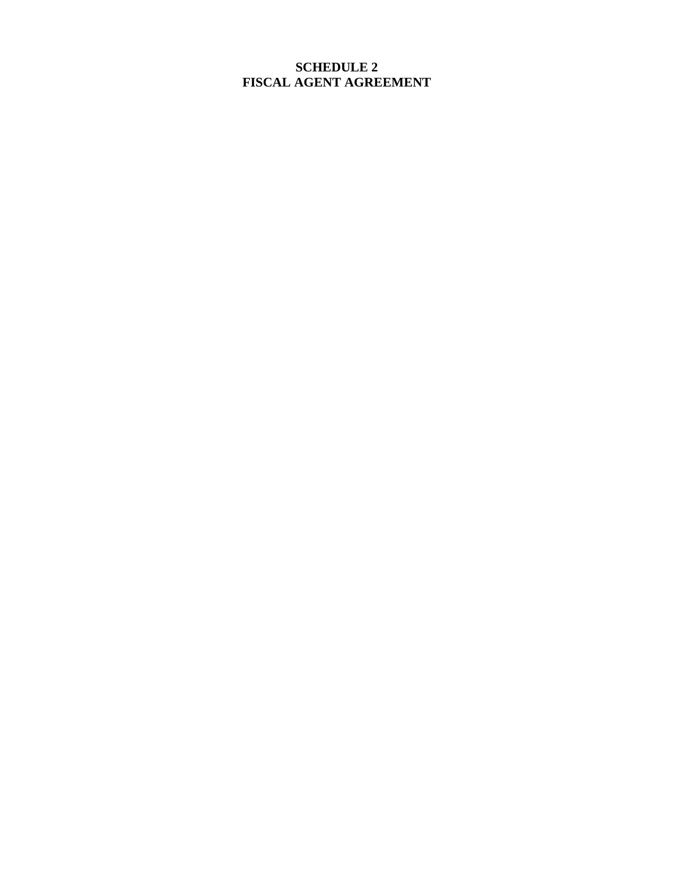# **SCHEDULE 2 FISCAL AGENT AGREEMENT**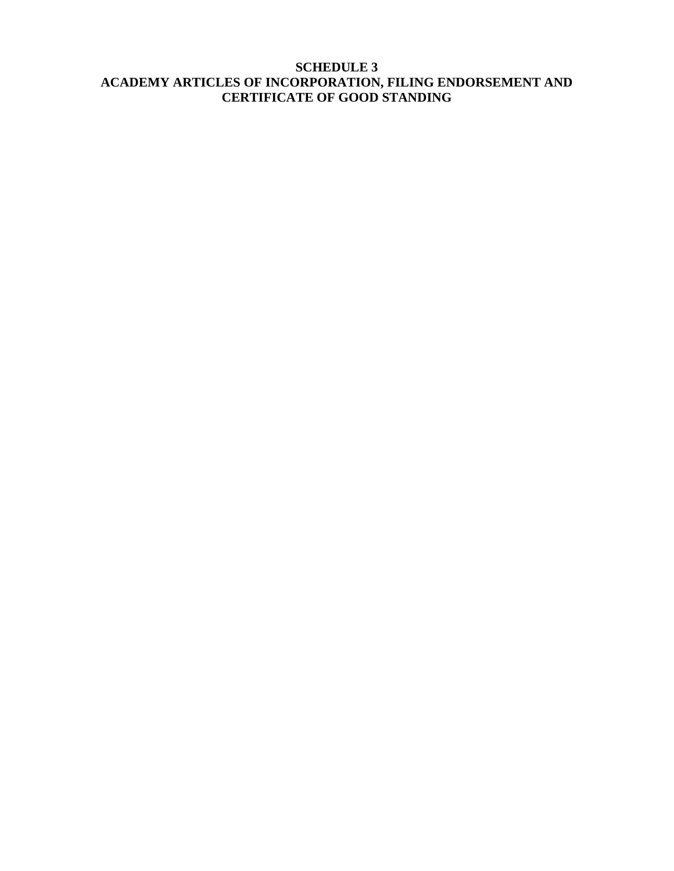# **SCHEDULE 3 ACADEMY ARTICLES OF INCORPORATION, FILING ENDORSEMENT AND CERTIFICATE OF GOOD STANDING**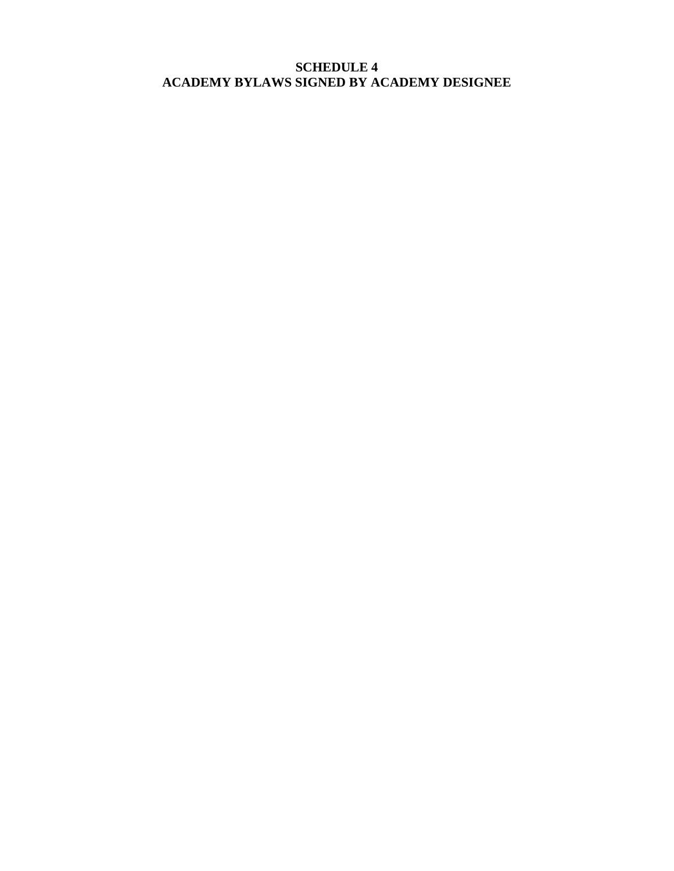# **SCHEDULE 4 ACADEMY BYLAWS SIGNED BY ACADEMY DESIGNEE**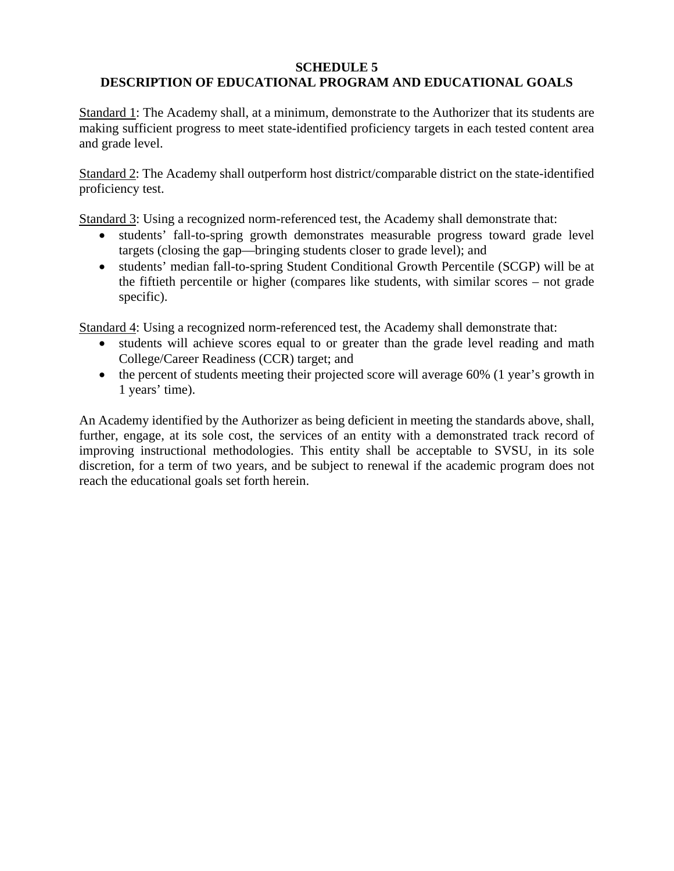#### **SCHEDULE 5**

# **DESCRIPTION OF EDUCATIONAL PROGRAM AND EDUCATIONAL GOALS**

Standard 1: The Academy shall, at a minimum, demonstrate to the Authorizer that its students are making sufficient progress to meet state-identified proficiency targets in each tested content area and grade level.

Standard 2: The Academy shall outperform host district/comparable district on the state-identified proficiency test.

Standard 3: Using a recognized norm-referenced test, the Academy shall demonstrate that:

- students' fall-to-spring growth demonstrates measurable progress toward grade level targets (closing the gap—bringing students closer to grade level); and
- students' median fall-to-spring Student Conditional Growth Percentile (SCGP) will be at the fiftieth percentile or higher (compares like students, with similar scores – not grade specific).

Standard 4: Using a recognized norm-referenced test, the Academy shall demonstrate that:

- students will achieve scores equal to or greater than the grade level reading and math College/Career Readiness (CCR) target; and
- the percent of students meeting their projected score will average 60% (1 year's growth in 1 years' time).

An Academy identified by the Authorizer as being deficient in meeting the standards above, shall, further, engage, at its sole cost, the services of an entity with a demonstrated track record of improving instructional methodologies. This entity shall be acceptable to SVSU, in its sole discretion, for a term of two years, and be subject to renewal if the academic program does not reach the educational goals set forth herein.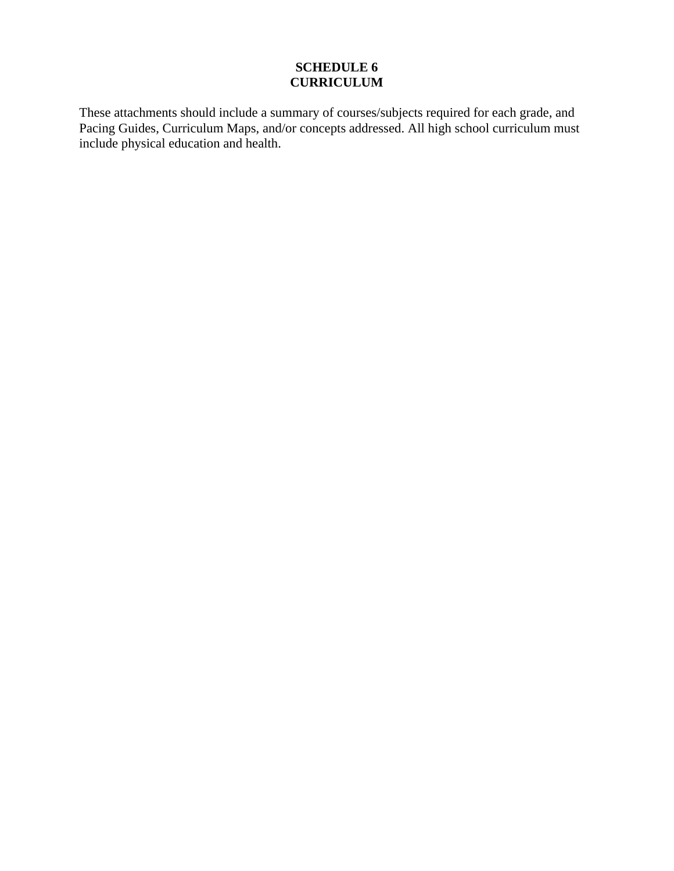# **SCHEDULE 6 CURRICULUM**

These attachments should include a summary of courses/subjects required for each grade, and Pacing Guides, Curriculum Maps, and/or concepts addressed. All high school curriculum must include physical education and health.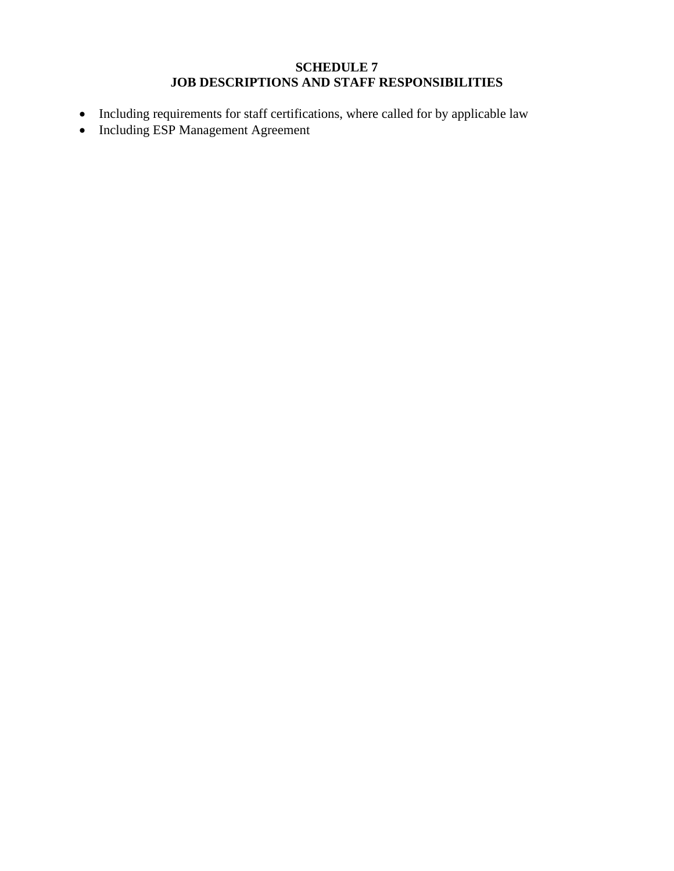# **SCHEDULE 7 JOB DESCRIPTIONS AND STAFF RESPONSIBILITIES**

- Including requirements for staff certifications, where called for by applicable law
- Including ESP Management Agreement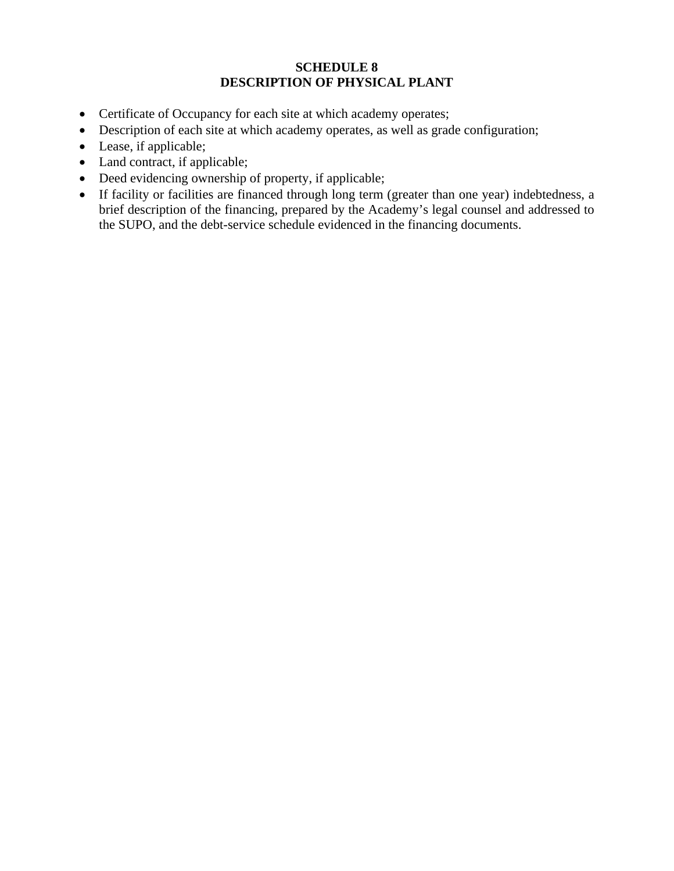### **SCHEDULE 8 DESCRIPTION OF PHYSICAL PLANT**

- Certificate of Occupancy for each site at which academy operates;
- Description of each site at which academy operates, as well as grade configuration;
- Lease, if applicable;
- Land contract, if applicable;
- Deed evidencing ownership of property, if applicable;
- If facility or facilities are financed through long term (greater than one year) indebtedness, a brief description of the financing, prepared by the Academy's legal counsel and addressed to the SUPO, and the debt-service schedule evidenced in the financing documents.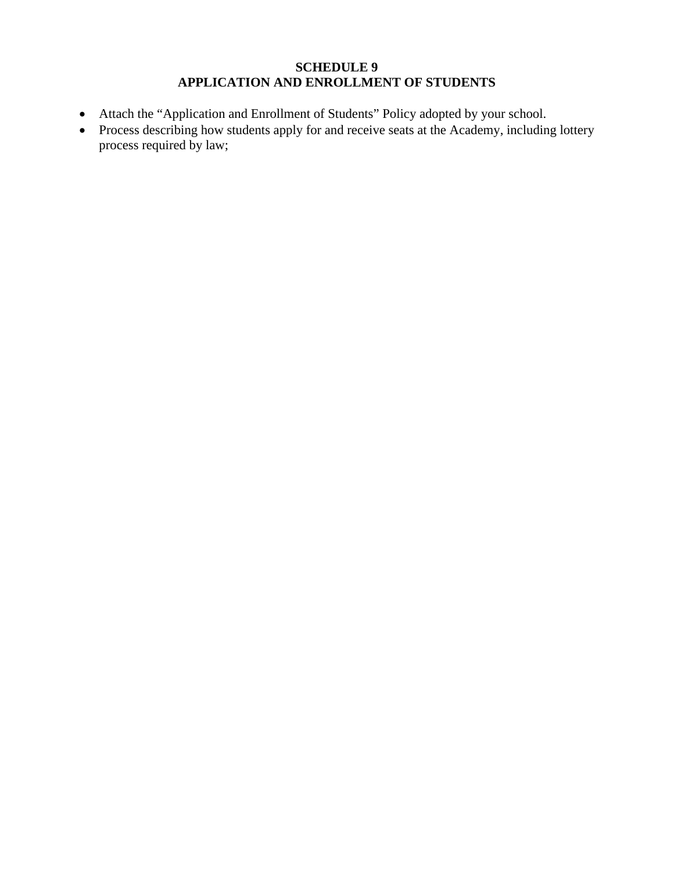### **SCHEDULE 9 APPLICATION AND ENROLLMENT OF STUDENTS**

- Attach the "Application and Enrollment of Students" Policy adopted by your school.
- Process describing how students apply for and receive seats at the Academy, including lottery process required by law;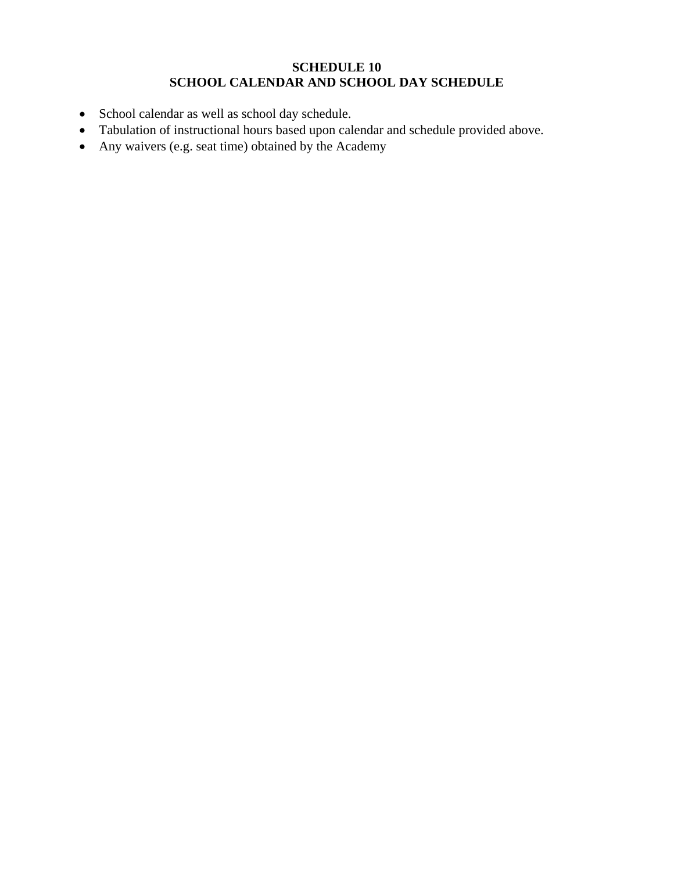#### **SCHEDULE 10 SCHOOL CALENDAR AND SCHOOL DAY SCHEDULE**

- School calendar as well as school day schedule.
- Tabulation of instructional hours based upon calendar and schedule provided above.
- Any waivers (e.g. seat time) obtained by the Academy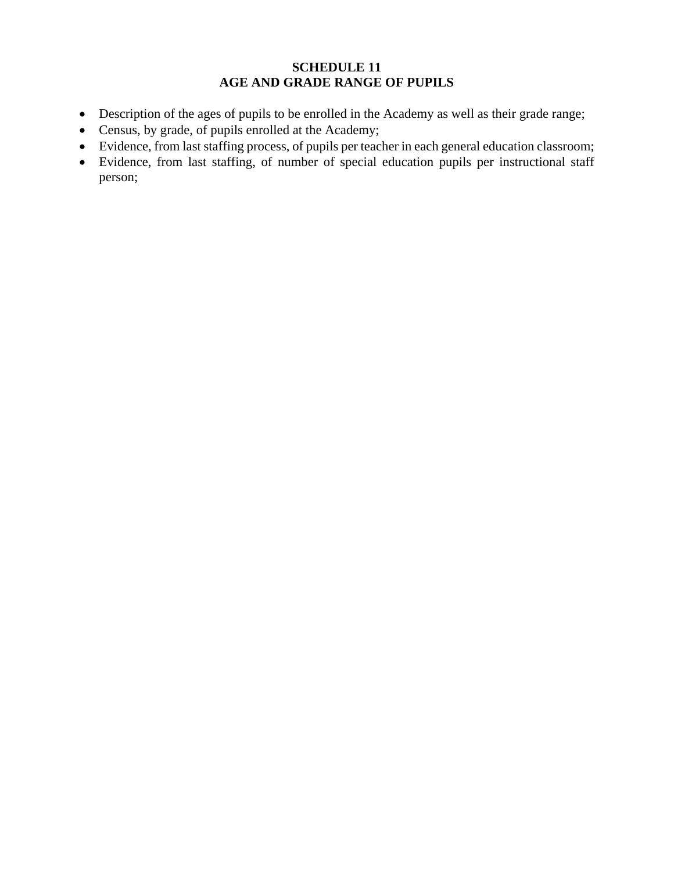# **SCHEDULE 11 AGE AND GRADE RANGE OF PUPILS**

- Description of the ages of pupils to be enrolled in the Academy as well as their grade range;
- Census, by grade, of pupils enrolled at the Academy;
- Evidence, from last staffing process, of pupils per teacher in each general education classroom;
- Evidence, from last staffing, of number of special education pupils per instructional staff person;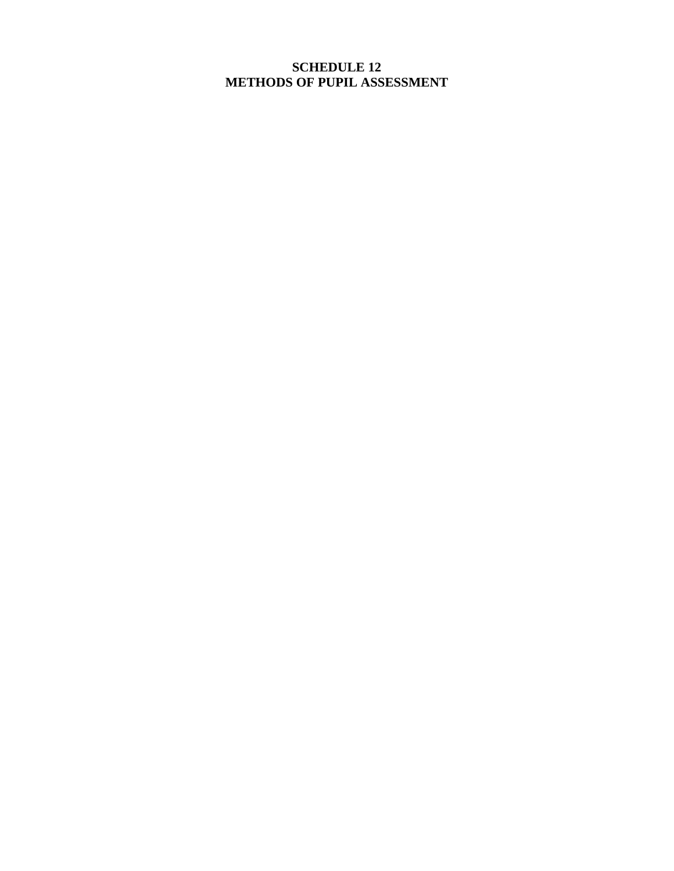## **SCHEDULE 12 METHODS OF PUPIL ASSESSMENT**